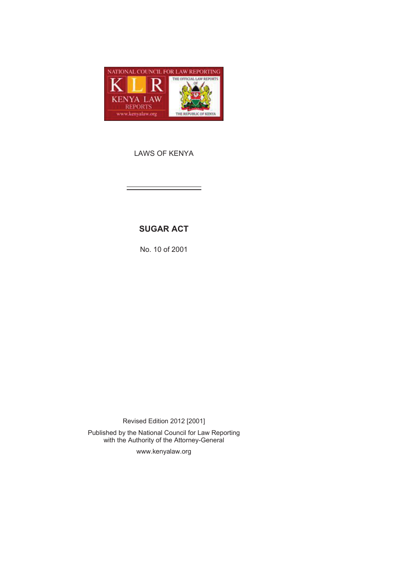

LAWS OF KENYA

# **SUGAR ACT**

No. 10 of 2001

Revised Edition 2012 [2001] Published by the National Council for Law Reporting with the Authority of the Attorney-General

www.kenyalaw.org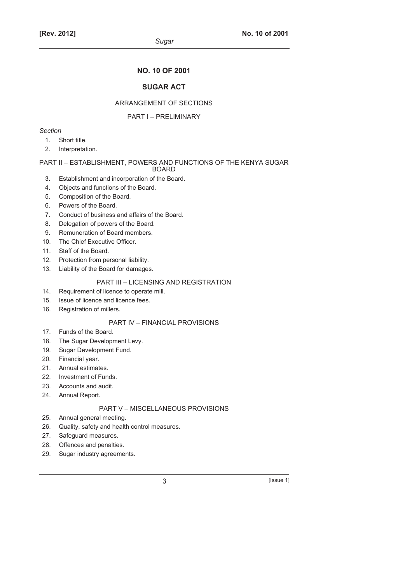### **NO. 10 OF 2001**

## **SUGAR ACT**

#### ARRANGEMENT OF SECTIONS

#### PART I – PRELIMINARY

### *Section*

- 1. Short title.
- 2. Interpretation.

#### PART II – ESTABLISHMENT, POWERS AND FUNCTIONS OF THE KENYA SUGAR BOARD

- 3. Establishment and incorporation of the Board.
- 4. Objects and functions of the Board.
- 5. Composition of the Board.
- 6. Powers of the Board.
- 7. Conduct of business and affairs of the Board.
- 8. Delegation of powers of the Board.
- 9. Remuneration of Board members.
- 10. The Chief Executive Officer.
- 11. Staff of the Board.
- 12. Protection from personal liability.
- 13. Liability of the Board for damages.

### PART III – LICENSING AND REGISTRATION

- 14. Requirement of licence to operate mill.
- 15. Issue of licence and licence fees.
- 16. Registration of millers.

### PART IV – FINANCIAL PROVISIONS

- 17. Funds of the Board.
- 18. The Sugar Development Levy.
- 19. Sugar Development Fund.
- 20. Financial year.
- 21. Annual estimates.
- 22. Investment of Funds.
- 23. Accounts and audit.
- 24. Annual Report.

### PART V – MISCELLANEOUS PROVISIONS

- 25. Annual general meeting.
- 26. Quality, safety and health control measures.
- 27. Safeguard measures.
- 28. Offences and penalties.
- 29. Sugar industry agreements.

 $3$  [Issue 1]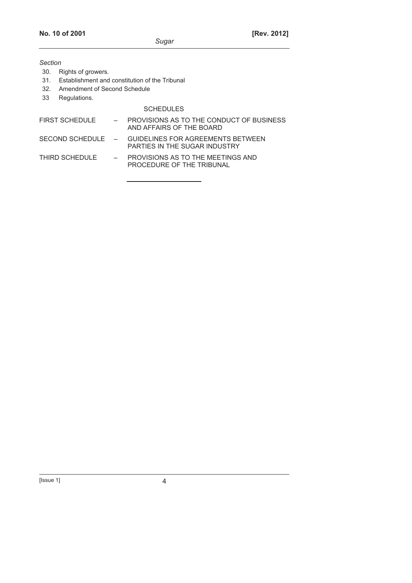- 30. Rights of growers.
- 31. Establishment and constitution of the Tribunal
- 32. Amendment of Second Schedule
- 33 Regulations.

#### **SCHEDULES**

- FIRST SCHEDULE  $\overline{P}$  PROVISIONS AS TO THE CONDUCT OF BUSINESS AND AFFAIRS OF THE BOARD SECOND SCHEDULE – GUIDELINES FOR AGREEMENTS BETWEEN
- PARTIES IN THE SUGAR INDUSTRY THIRD SCHEDULE – PROVISIONS AS TO THE MEETINGS AND PROCEDURE OF THE TRIBUNAL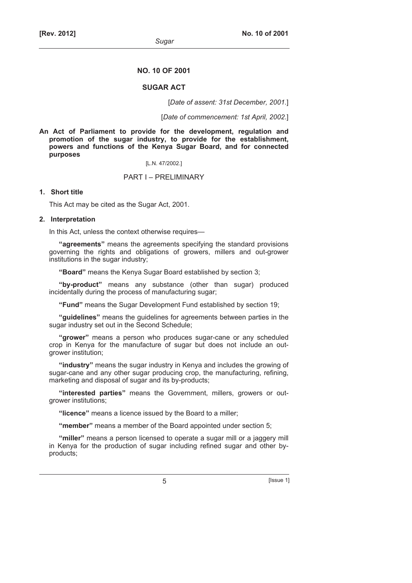#### **NO. 10 OF 2001**

#### **SUGAR ACT**

[*Date of assent: 31st December, 2001.*]

[*Date of commencement: 1st April, 2002*.]

**An Act of Parliament to provide for the development, regulation and promotion of the sugar industry, to provide for the establishment, powers and functions of the Kenya Sugar Board, and for connected purposes** 

[L.N. 47/2002.]

#### PART I – PRELIMINARY

#### **1. Short title**

This Act may be cited as the Sugar Act, 2001.

#### **2. Interpretation**

In this Act, unless the context otherwise requires—

**"agreements"** means the agreements specifying the standard provisions governing the rights and obligations of growers, millers and out-grower institutions in the sugar industry;

**"Board"** means the Kenya Sugar Board established by section 3;

**"by-product"** means any substance (other than sugar) produced incidentally during the process of manufacturing sugar;

**"Fund"** means the Sugar Development Fund established by section 19;

**"guidelines"** means the guidelines for agreements between parties in the sugar industry set out in the Second Schedule;

**"grower"** means a person who produces sugar-cane or any scheduled crop in Kenya for the manufacture of sugar but does not include an outgrower institution;

**"industry"** means the sugar industry in Kenya and includes the growing of sugar-cane and any other sugar producing crop, the manufacturing, refining, marketing and disposal of sugar and its by-products;

**"interested parties"** means the Government, millers, growers or outgrower institutions;

**"licence"** means a licence issued by the Board to a miller;

**"member"** means a member of the Board appointed under section 5;

**"miller"** means a person licensed to operate a sugar mill or a jaggery mill in Kenya for the production of sugar including refined sugar and other byproducts;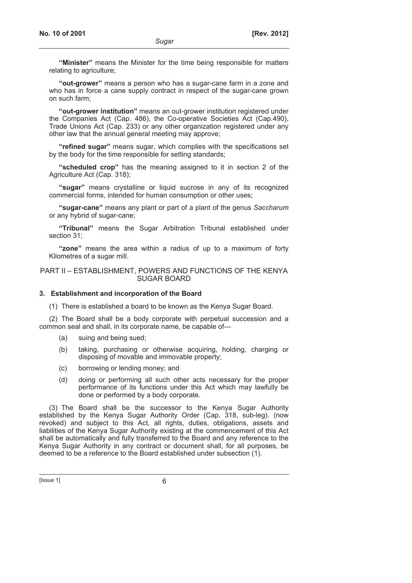**"Minister"** means the Minister for the time being responsible for matters relating to agriculture;

**"out-grower"** means a person who has a sugar-cane farm in a zone and who has in force a cane supply contract in respect of the sugar-cane grown on such farm;

**"out-grower institution"** means an out-grower institution registered under the Companies Act (Cap. 486), the Co-operative Societies Act (Cap.490), Trade Unions Act (Cap. 233) or any other organization registered under any other law that the annual general meeting may approve;

**"refined sugar"** means sugar, which complies with the specifications set by the body for the time responsible for setting standards;

**"scheduled crop"** has the meaning assigned to it in section 2 of the Agriculture Act (Cap. 318);

**"sugar"** means crystalline or liquid sucrose in any of its recognized commercial forms, intended for human consumption or other uses;

**"sugar-cane"** means any plant or part of a plant of the genus *Saccharum* or any hybrid of sugar-cane;

**"Tribunal"** means the Sugar Arbitration Tribunal established under section 31;

**"zone"** means the area within a radius of up to a maximum of forty Kilometres of a sugar mill.

#### PART II – ESTABLISHMENT, POWERS AND FUNCTIONS OF THE KENYA SUGAR BOARD

#### **3. Establishment and incorporation of the Board**

(1) There is established a board to be known as the Kenya Sugar Board.

(2) The Board shall be a body corporate with perpetual succession and a common seal and shall, in its corporate name, be capable of—

- (a) suing and being sued;
- (b) taking, purchasing or otherwise acquiring, holding, charging or disposing of movable and immovable property;
- (c) borrowing or lending money; and
- (d) doing or performing all such other acts necessary for the proper performance of its functions under this Act which may lawfully be done or performed by a body corporate.

(3) The Board shall be the successor to the Kenya Sugar Authority established by the Kenya Sugar Authority Order (Cap. 318, sub-leg). (now revoked) and subject to this Act, all rights, duties, obligations, assets and liabilities of the Kenya Sugar Authority existing at the commencement of this Act shall be automatically and fully transferred to the Board and any reference to the Kenya Sugar Authority in any contract or document shall, for all purposes, be deemed to be a reference to the Board established under subsection (1).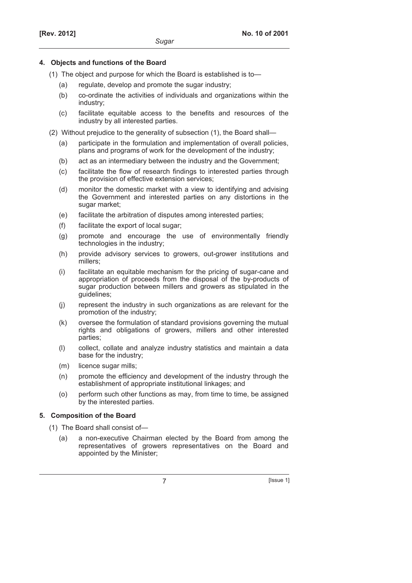### **4. Objects and functions of the Board**

- (1) The object and purpose for which the Board is established is to—
	- (a) regulate, develop and promote the sugar industry;
	- (b) co-ordinate the activities of individuals and organizations within the industry;
	- (c) facilitate equitable access to the benefits and resources of the industry by all interested parties.
- (2) Without prejudice to the generality of subsection (1), the Board shall—
	- (a) participate in the formulation and implementation of overall policies, plans and programs of work for the development of the industry;
	- (b) act as an intermediary between the industry and the Government;
	- (c) facilitate the flow of research findings to interested parties through the provision of effective extension services;
	- (d) monitor the domestic market with a view to identifying and advising the Government and interested parties on any distortions in the sugar market:
	- (e) facilitate the arbitration of disputes among interested parties;
	- (f) facilitate the export of local sugar;
	- (g) promote and encourage the use of environmentally friendly technologies in the industry;
	- (h) provide advisory services to growers, out-grower institutions and millers;
	- (i) facilitate an equitable mechanism for the pricing of sugar-cane and appropriation of proceeds from the disposal of the by-products of sugar production between millers and growers as stipulated in the guidelines;
	- (j) represent the industry in such organizations as are relevant for the promotion of the industry;
	- (k) oversee the formulation of standard provisions governing the mutual rights and obligations of growers, millers and other interested parties;
	- (l) collect, collate and analyze industry statistics and maintain a data base for the industry;
	- (m) licence sugar mills;
	- (n) promote the efficiency and development of the industry through the establishment of appropriate institutional linkages; and
	- (o) perform such other functions as may, from time to time, be assigned by the interested parties.

# **5. Composition of the Board**

(1) The Board shall consist of—

 (a) a non-executive Chairman elected by the Board from among the representatives of growers representatives on the Board and appointed by the Minister;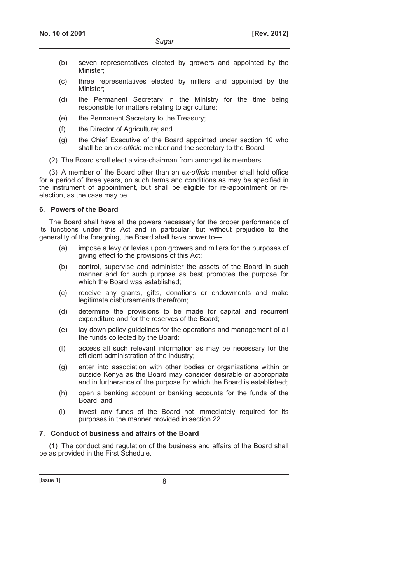- (b) seven representatives elected by growers and appointed by the Minister;
- (c) three representatives elected by millers and appointed by the Minister;
- (d) the Permanent Secretary in the Ministry for the time being responsible for matters relating to agriculture;
- (e) the Permanent Secretary to the Treasury;
- (f) the Director of Agriculture; and
- (g) the Chief Executive of the Board appointed under section 10 who shall be an *ex-officio* member and the secretary to the Board.
- (2) The Board shall elect a vice-chairman from amongst its members.

(3) A member of the Board other than an *ex-officio* member shall hold office for a period of three years, on such terms and conditions as may be specified in the instrument of appointment, but shall be eligible for re-appointment or reelection, as the case may be.

### **6. Powers of the Board**

The Board shall have all the powers necessary for the proper performance of its functions under this Act and in particular, but without prejudice to the generality of the foregoing, the Board shall have power to—

- (a) impose a levy or levies upon growers and millers for the purposes of giving effect to the provisions of this Act;
- (b) control, supervise and administer the assets of the Board in such manner and for such purpose as best promotes the purpose for which the Board was established;
- (c) receive any grants, gifts, donations or endowments and make legitimate disbursements therefrom;
- (d) determine the provisions to be made for capital and recurrent expenditure and for the reserves of the Board;
- (e) lay down policy guidelines for the operations and management of all the funds collected by the Board;
- (f) access all such relevant information as may be necessary for the efficient administration of the industry;
- (g) enter into association with other bodies or organizations within or outside Kenya as the Board may consider desirable or appropriate and in furtherance of the purpose for which the Board is established;
- (h) open a banking account or banking accounts for the funds of the Board; and
- (i) invest any funds of the Board not immediately required for its purposes in the manner provided in section 22.

# **7. Conduct of business and affairs of the Board**

(1) The conduct and regulation of the business and affairs of the Board shall be as provided in the First Schedule.

 $[|$  Issue 1 $|$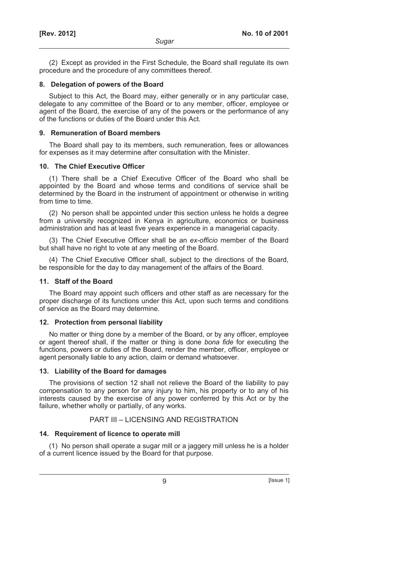(2) Except as provided in the First Schedule, the Board shall regulate its own procedure and the procedure of any committees thereof.

#### **8. Delegation of powers of the Board**

Subject to this Act, the Board may, either generally or in any particular case, delegate to any committee of the Board or to any member, officer, employee or agent of the Board, the exercise of any of the powers or the performance of any of the functions or duties of the Board under this Act.

#### **9. Remuneration of Board members**

The Board shall pay to its members, such remuneration, fees or allowances for expenses as it may determine after consultation with the Minister.

#### **10. The Chief Executive Officer**

(1) There shall be a Chief Executive Officer of the Board who shall be appointed by the Board and whose terms and conditions of service shall be determined by the Board in the instrument of appointment or otherwise in writing from time to time.

(2) No person shall be appointed under this section unless he holds a degree from a university recognized in Kenya in agriculture, economics or business administration and has at least five years experience in a managerial capacity.

(3) The Chief Executive Officer shall be an *ex-officio* member of the Board but shall have no right to vote at any meeting of the Board.

(4) The Chief Executive Officer shall, subject to the directions of the Board, be responsible for the day to day management of the affairs of the Board.

#### **11. Staff of the Board**

The Board may appoint such officers and other staff as are necessary for the proper discharge of its functions under this Act, upon such terms and conditions of service as the Board may determine.

#### **12. Protection from personal liability**

No matter or thing done by a member of the Board, or by any officer, employee or agent thereof shall, if the matter or thing is done *bona fide* for executing the functions, powers or duties of the Board, render the member, officer, employee or agent personally liable to any action, claim or demand whatsoever.

#### **13. Liability of the Board for damages**

The provisions of section 12 shall not relieve the Board of the liability to pay compensation to any person for any injury to him, his property or to any of his interests caused by the exercise of any power conferred by this Act or by the failure, whether wholly or partially, of any works.

### PART III – LICENSING AND REGISTRATION

#### **14. Requirement of licence to operate mill**

(1) No person shall operate a sugar mill or a jaggery mill unless he is a holder of a current licence issued by the Board for that purpose.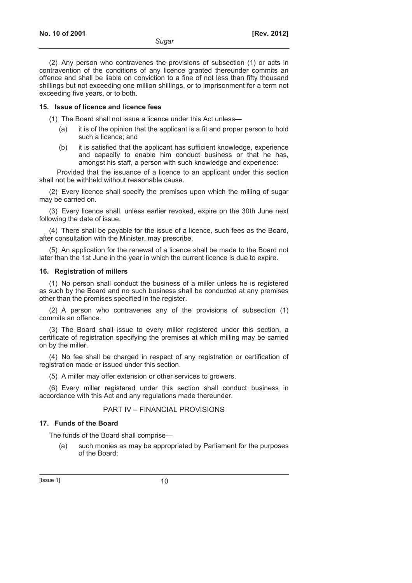(2) Any person who contravenes the provisions of subsection (1) or acts in contravention of the conditions of any licence granted thereunder commits an offence and shall be liable on conviction to a fine of not less than fifty thousand shillings but not exceeding one million shillings, or to imprisonment for a term not exceeding five years, or to both.

### **15. Issue of licence and licence fees**

(1) The Board shall not issue a licence under this Act unless—

- (a) it is of the opinion that the applicant is a fit and proper person to hold such a licence; and
- (b) it is satisfied that the applicant has sufficient knowledge, experience and capacity to enable him conduct business or that he has, amongst his staff, a person with such knowledge and experience:

Provided that the issuance of a licence to an applicant under this section shall not be withheld without reasonable cause.

(2) Every licence shall specify the premises upon which the milling of sugar may be carried on.

(3) Every licence shall, unless earlier revoked, expire on the 30th June next following the date of issue.

(4) There shall be payable for the issue of a licence, such fees as the Board, after consultation with the Minister, may prescribe.

(5) An application for the renewal of a licence shall be made to the Board not later than the 1st June in the year in which the current licence is due to expire.

### **16. Registration of millers**

(1) No person shall conduct the business of a miller unless he is registered as such by the Board and no such business shall be conducted at any premises other than the premises specified in the register.

(2) A person who contravenes any of the provisions of subsection (1) commits an offence.

(3) The Board shall issue to every miller registered under this section, a certificate of registration specifying the premises at which milling may be carried on by the miller.

(4) No fee shall be charged in respect of any registration or certification of registration made or issued under this section.

(5) A miller may offer extension or other services to growers.

(6) Every miller registered under this section shall conduct business in accordance with this Act and any regulations made thereunder.

# PART IV – FINANCIAL PROVISIONS

# **17. Funds of the Board**

The funds of the Board shall comprise—

 (a) such monies as may be appropriated by Parliament for the purposes of the Board;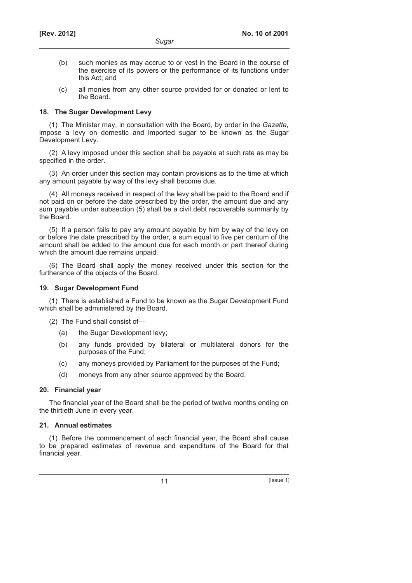- (b) such monies as may accrue to or vest in the Board in the course of the exercise of its powers or the performance of its functions under this Act; and
- (c) all monies from any other source provided for or donated or lent to the Board.

### **18. The Sugar Development Levy**

(1) The Minister may, in consultation with the Board, by order in the *Gazette*, impose a levy on domestic and imported sugar to be known as the Sugar Development Levy.

(2) A levy imposed under this section shall be payable at such rate as may be specified in the order.

(3) An order under this section may contain provisions as to the time at which any amount payable by way of the levy shall become due.

(4) All moneys received in respect of the levy shall be paid to the Board and if not paid on or before the date prescribed by the order, the amount due and any sum payable under subsection (5) shall be a civil debt recoverable summarily by the Board.

(5) If a person fails to pay any amount payable by him by way of the levy on or before the date prescribed by the order, a sum equal to five per centum of the amount shall be added to the amount due for each month or part thereof during which the amount due remains unpaid.

(6) The Board shall apply the money received under this section for the furtherance of the objects of the Board.

## **19. Sugar Development Fund**

(1) There is established a Fund to be known as the Sugar Development Fund which shall be administered by the Board.

(2) The Fund shall consist of—

- (a) the Sugar Development levy;
- (b) any funds provided by bilateral or multilateral donors for the purposes of the Fund;
- (c) any moneys provided by Parliament for the purposes of the Fund;
- (d) moneys from any other source approved by the Board.

# **20. Financial year**

The financial year of the Board shall be the period of twelve months ending on the thirtieth June in every year.

# **21. Annual estimates**

(1) Before the commencement of each financial year, the Board shall cause to be prepared estimates of revenue and expenditure of the Board for that financial year.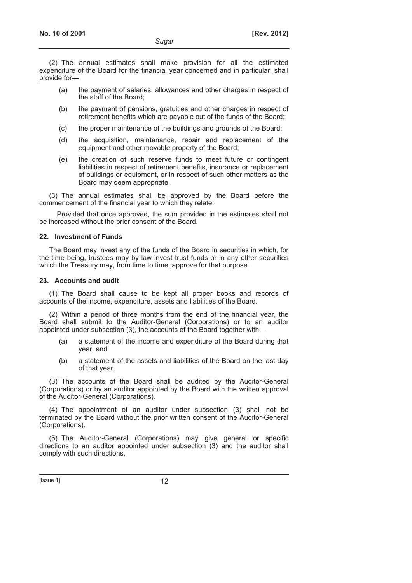(2) The annual estimates shall make provision for all the estimated expenditure of the Board for the financial year concerned and in particular, shall provide for—

- (a) the payment of salaries, allowances and other charges in respect of the staff of the Board;
- (b) the payment of pensions, gratuities and other charges in respect of retirement benefits which are payable out of the funds of the Board;
- (c) the proper maintenance of the buildings and grounds of the Board;
- (d) the acquisition, maintenance, repair and replacement of the equipment and other movable property of the Board;
- (e) the creation of such reserve funds to meet future or contingent liabilities in respect of retirement benefits, insurance or replacement of buildings or equipment, or in respect of such other matters as the Board may deem appropriate.

(3) The annual estimates shall be approved by the Board before the commencement of the financial year to which they relate:

Provided that once approved, the sum provided in the estimates shall not be increased without the prior consent of the Board.

### **22. Investment of Funds**

The Board may invest any of the funds of the Board in securities in which, for the time being, trustees may by law invest trust funds or in any other securities which the Treasury may, from time to time, approve for that purpose.

### **23. Accounts and audit**

(1) The Board shall cause to be kept all proper books and records of accounts of the income, expenditure, assets and liabilities of the Board.

(2) Within a period of three months from the end of the financial year, the Board shall submit to the Auditor-General (Corporations) or to an auditor appointed under subsection (3), the accounts of the Board together with—

- (a) a statement of the income and expenditure of the Board during that year; and
- (b) a statement of the assets and liabilities of the Board on the last day of that year.

(3) The accounts of the Board shall be audited by the Auditor-General (Corporations) or by an auditor appointed by the Board with the written approval of the Auditor-General (Corporations).

(4) The appointment of an auditor under subsection (3) shall not be terminated by the Board without the prior written consent of the Auditor-General (Corporations).

(5) The Auditor-General (Corporations) may give general or specific directions to an auditor appointed under subsection (3) and the auditor shall comply with such directions.

 $[|$ ssue 1 $]$  12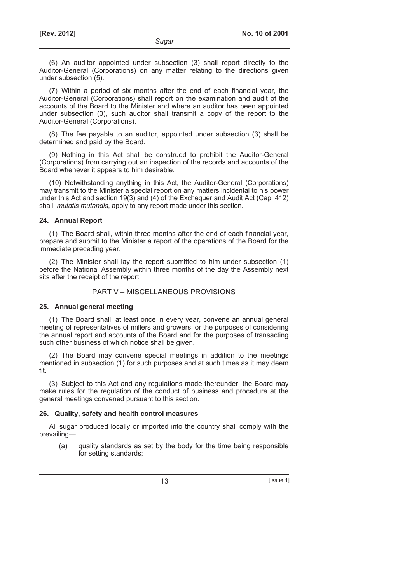(6) An auditor appointed under subsection (3) shall report directly to the Auditor-General (Corporations) on any matter relating to the directions given under subsection (5).

(7) Within a period of six months after the end of each financial year, the Auditor-General (Corporations) shall report on the examination and audit of the accounts of the Board to the Minister and where an auditor has been appointed under subsection (3), such auditor shall transmit a copy of the report to the Auditor-General (Corporations).

(8) The fee payable to an auditor, appointed under subsection (3) shall be determined and paid by the Board.

(9) Nothing in this Act shall be construed to prohibit the Auditor-General (Corporations) from carrying out an inspection of the records and accounts of the Board whenever it appears to him desirable.

(10) Notwithstanding anything in this Act, the Auditor-General (Corporations) may transmit to the Minister a special report on any matters incidental to his power under this Act and section 19(3) and (4) of the Exchequer and Audit Act (Cap. 412) shall, *mutatis mutandis*, apply to any report made under this section.

#### **24. Annual Report**

(1) The Board shall, within three months after the end of each financial year, prepare and submit to the Minister a report of the operations of the Board for the immediate preceding year.

(2) The Minister shall lay the report submitted to him under subsection (1) before the National Assembly within three months of the day the Assembly next sits after the receipt of the report.

### PART V – MISCELLANEOUS PROVISIONS

#### **25. Annual general meeting**

(1) The Board shall, at least once in every year, convene an annual general meeting of representatives of millers and growers for the purposes of considering the annual report and accounts of the Board and for the purposes of transacting such other business of which notice shall be given.

(2) The Board may convene special meetings in addition to the meetings mentioned in subsection (1) for such purposes and at such times as it may deem fit.

(3) Subject to this Act and any regulations made thereunder, the Board may make rules for the regulation of the conduct of business and procedure at the general meetings convened pursuant to this section.

#### **26. Quality, safety and health control measures**

All sugar produced locally or imported into the country shall comply with the prevailing—

 (a) quality standards as set by the body for the time being responsible for setting standards;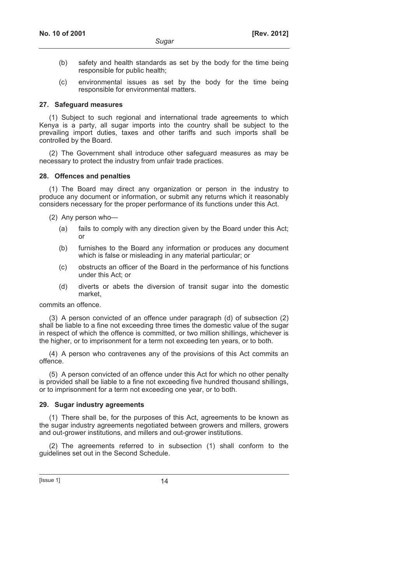- (b) safety and health standards as set by the body for the time being responsible for public health;
- (c) environmental issues as set by the body for the time being responsible for environmental matters.

#### **27. Safeguard measures**

(1) Subject to such regional and international trade agreements to which Kenya is a party, all sugar imports into the country shall be subject to the prevailing import duties, taxes and other tariffs and such imports shall be controlled by the Board.

(2) The Government shall introduce other safeguard measures as may be necessary to protect the industry from unfair trade practices.

#### **28. Offences and penalties**

(1) The Board may direct any organization or person in the industry to produce any document or information, or submit any returns which it reasonably considers necessary for the proper performance of its functions under this Act.

(2) Any person who—

- (a) fails to comply with any direction given by the Board under this Act; or
- (b) furnishes to the Board any information or produces any document which is false or misleading in any material particular; or
- (c) obstructs an officer of the Board in the performance of his functions under this Act; or
- (d) diverts or abets the diversion of transit sugar into the domestic market,

commits an offence.

(3) A person convicted of an offence under paragraph (d) of subsection (2) shall be liable to a fine not exceeding three times the domestic value of the sugar in respect of which the offence is committed, or two million shillings, whichever is the higher, or to imprisonment for a term not exceeding ten years, or to both.

(4) A person who contravenes any of the provisions of this Act commits an offence.

(5) A person convicted of an offence under this Act for which no other penalty is provided shall be liable to a fine not exceeding five hundred thousand shillings, or to imprisonment for a term not exceeding one year, or to both.

### **29. Sugar industry agreements**

(1) There shall be, for the purposes of this Act, agreements to be known as the sugar industry agreements negotiated between growers and millers, growers and out-grower institutions, and millers and out-grower institutions.

(2) The agreements referred to in subsection (1) shall conform to the guidelines set out in the Second Schedule.

 $[|$  Issue 1 $]$  14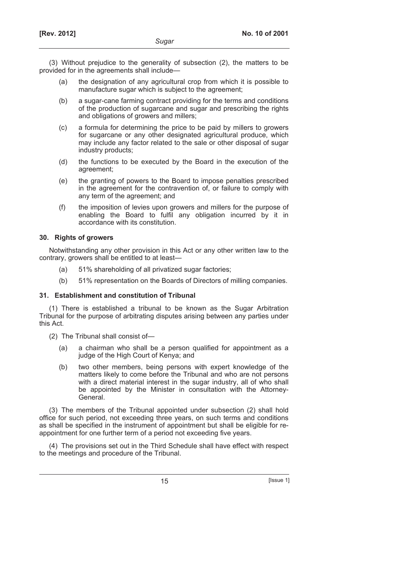(3) Without prejudice to the generality of subsection (2), the matters to be provided for in the agreements shall include—

- (a) the designation of any agricultural crop from which it is possible to manufacture sugar which is subject to the agreement;
- (b) a sugar-cane farming contract providing for the terms and conditions of the production of sugarcane and sugar and prescribing the rights and obligations of growers and millers;
- (c) a formula for determining the price to be paid by millers to growers for sugarcane or any other designated agricultural produce, which may include any factor related to the sale or other disposal of sugar industry products;
- (d) the functions to be executed by the Board in the execution of the agreement;
- (e) the granting of powers to the Board to impose penalties prescribed in the agreement for the contravention of, or failure to comply with any term of the agreement; and
- (f) the imposition of levies upon growers and millers for the purpose of enabling the Board to fulfil any obligation incurred by it in accordance with its constitution.

### **30. Rights of growers**

Notwithstanding any other provision in this Act or any other written law to the contrary, growers shall be entitled to at least—

- (a) 51% shareholding of all privatized sugar factories;
- (b) 51% representation on the Boards of Directors of milling companies.

### **31. Establishment and constitution of Tribunal**

(1) There is established a tribunal to be known as the Sugar Arbitration Tribunal for the purpose of arbitrating disputes arising between any parties under this Act.

- (2) The Tribunal shall consist of—
	- (a) a chairman who shall be a person qualified for appointment as a judge of the High Court of Kenya; and
	- (b) two other members, being persons with expert knowledge of the matters likely to come before the Tribunal and who are not persons with a direct material interest in the sugar industry, all of who shall be appointed by the Minister in consultation with the Attorney-General.

(3) The members of the Tribunal appointed under subsection (2) shall hold office for such period, not exceeding three years, on such terms and conditions as shall be specified in the instrument of appointment but shall be eligible for reappointment for one further term of a period not exceeding five years.

(4) The provisions set out in the Third Schedule shall have effect with respect to the meetings and procedure of the Tribunal.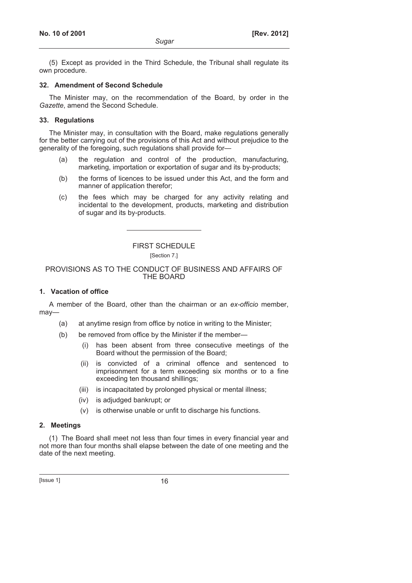(5) Except as provided in the Third Schedule, the Tribunal shall regulate its own procedure.

### **32. Amendment of Second Schedule**

The Minister may, on the recommendation of the Board, by order in the *Gazette*, amend the Second Schedule.

### **33. Regulations**

The Minister may, in consultation with the Board, make regulations generally for the better carrying out of the provisions of this Act and without prejudice to the generality of the foregoing, such regulations shall provide for—

- (a) the regulation and control of the production, manufacturing, marketing, importation or exportation of sugar and its by-products;
- (b) the forms of licences to be issued under this Act, and the form and manner of application therefor;
- (c) the fees which may be charged for any activity relating and incidental to the development, products, marketing and distribution of sugar and its by-products.

# FIRST SCHEDULE

[Section 7.]

### PROVISIONS AS TO THE CONDUCT OF BUSINESS AND AFFAIRS OF THE BOARD

# **1. Vacation of office**

A member of the Board, other than the chairman or an *ex-officio* member, may—

- (a) at anytime resign from office by notice in writing to the Minister;
- (b) be removed from office by the Minister if the member
	- has been absent from three consecutive meetings of the Board without the permission of the Board;
	- (ii) is convicted of a criminal offence and sentenced to imprisonment for a term exceeding six months or to a fine exceeding ten thousand shillings;
	- (iii) is incapacitated by prolonged physical or mental illness;
	- (iv) is adjudged bankrupt; or
	- (v) is otherwise unable or unfit to discharge his functions.

### **2. Meetings**

(1) The Board shall meet not less than four times in every financial year and not more than four months shall elapse between the date of one meeting and the date of the next meeting.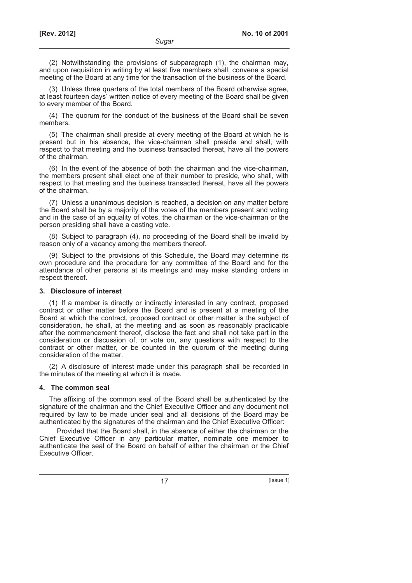(2) Notwithstanding the provisions of subparagraph (1), the chairman may, and upon requisition in writing by at least five members shall, convene a special meeting of the Board at any time for the transaction of the business of the Board.

(3) Unless three quarters of the total members of the Board otherwise agree, at least fourteen days' written notice of every meeting of the Board shall be given to every member of the Board.

(4) The quorum for the conduct of the business of the Board shall be seven members.

(5) The chairman shall preside at every meeting of the Board at which he is present but in his absence, the vice-chairman shall preside and shall, with respect to that meeting and the business transacted thereat, have all the powers of the chairman.

(6) In the event of the absence of both the chairman and the vice-chairman, the members present shall elect one of their number to preside, who shall, with respect to that meeting and the business transacted thereat, have all the powers of the chairman.

(7) Unless a unanimous decision is reached, a decision on any matter before the Board shall be by a majority of the votes of the members present and voting and in the case of an equality of votes, the chairman or the vice-chairman or the person presiding shall have a casting vote.

(8) Subject to paragraph (4), no proceeding of the Board shall be invalid by reason only of a vacancy among the members thereof.

(9) Subject to the provisions of this Schedule, the Board may determine its own procedure and the procedure for any committee of the Board and for the attendance of other persons at its meetings and may make standing orders in respect thereof.

#### **3. Disclosure of interest**

(1) If a member is directly or indirectly interested in any contract, proposed contract or other matter before the Board and is present at a meeting of the Board at which the contract, proposed contract or other matter is the subject of consideration, he shall, at the meeting and as soon as reasonably practicable after the commencement thereof, disclose the fact and shall not take part in the consideration or discussion of, or vote on, any questions with respect to the contract or other matter, or be counted in the quorum of the meeting during consideration of the matter.

(2) A disclosure of interest made under this paragraph shall be recorded in the minutes of the meeting at which it is made.

#### **4. The common seal**

The affixing of the common seal of the Board shall be authenticated by the signature of the chairman and the Chief Executive Officer and any document not required by law to be made under seal and all decisions of the Board may be authenticated by the signatures of the chairman and the Chief Executive Officer:

Provided that the Board shall, in the absence of either the chairman or the Chief Executive Officer in any particular matter, nominate one member to authenticate the seal of the Board on behalf of either the chairman or the Chief Executive Officer.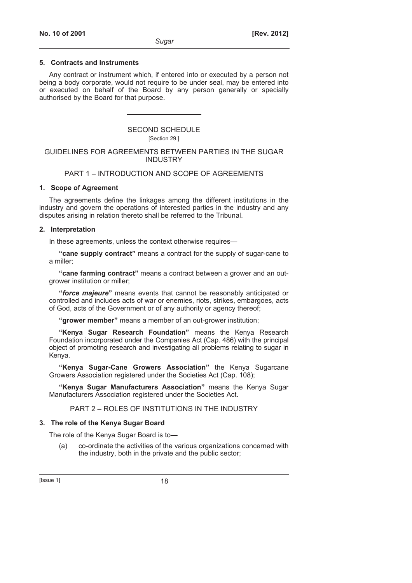### **5. Contracts and Instruments**

Any contract or instrument which, if entered into or executed by a person not being a body corporate, would not require to be under seal, may be entered into or executed on behalf of the Board by any person generally or specially authorised by the Board for that purpose.

# SECOND SCHEDULE

### [Section 29.]

### GUIDELINES FOR AGREEMENTS BETWEEN PARTIES IN THE SUGAR INDUSTRY

# PART 1 – INTRODUCTION AND SCOPE OF AGREEMENTS

# **1. Scope of Agreement**

The agreements define the linkages among the different institutions in the industry and govern the operations of interested parties in the industry and any disputes arising in relation thereto shall be referred to the Tribunal.

### **2. Interpretation**

In these agreements, unless the context otherwise requires—

**"cane supply contract"** means a contract for the supply of sugar-cane to a miller;

**"cane farming contract"** means a contract between a grower and an outgrower institution or miller;

**"***force majeure***"** means events that cannot be reasonably anticipated or controlled and includes acts of war or enemies, riots, strikes, embargoes, acts of God, acts of the Government or of any authority or agency thereof;

**"grower member"** means a member of an out-grower institution;

**"Kenya Sugar Research Foundation"** means the Kenya Research Foundation incorporated under the Companies Act (Cap. 486) with the principal object of promoting research and investigating all problems relating to sugar in Kenya.

**"Kenya Sugar-Cane Growers Association"** the Kenya Sugarcane Growers Association registered under the Societies Act (Cap. 108);

**"Kenya Sugar Manufacturers Association"** means the Kenya Sugar Manufacturers Association registered under the Societies Act.

PART 2 – ROLES OF INSTITUTIONS IN THE INDUSTRY

# **3. The role of the Kenya Sugar Board**

The role of the Kenya Sugar Board is to—

 (a) co-ordinate the activities of the various organizations concerned with the industry, both in the private and the public sector;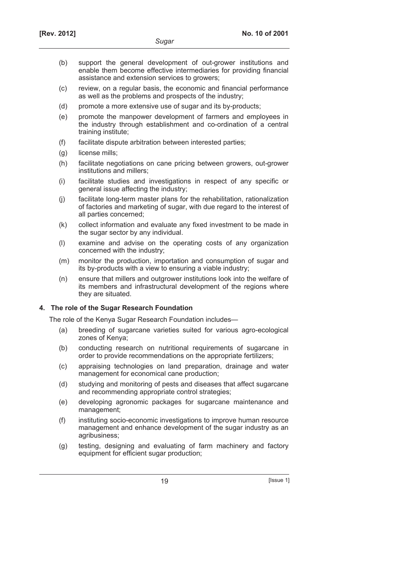- (b) support the general development of out-grower institutions and enable them become effective intermediaries for providing financial assistance and extension services to growers;
- (c) review, on a regular basis, the economic and financial performance as well as the problems and prospects of the industry;
- (d) promote a more extensive use of sugar and its by-products;
- (e) promote the manpower development of farmers and employees in the industry through establishment and co-ordination of a central training institute;
- (f) facilitate dispute arbitration between interested parties;
- (g) license mills;
- (h) facilitate negotiations on cane pricing between growers, out-grower institutions and millers;
- (i) facilitate studies and investigations in respect of any specific or general issue affecting the industry;
- (j) facilitate long-term master plans for the rehabilitation, rationalization of factories and marketing of sugar, with due regard to the interest of all parties concerned;
- (k) collect information and evaluate any fixed investment to be made in the sugar sector by any individual.
- (l) examine and advise on the operating costs of any organization concerned with the industry;
- (m) monitor the production, importation and consumption of sugar and its by-products with a view to ensuring a viable industry;
- (n) ensure that millers and outgrower institutions look into the welfare of its members and infrastructural development of the regions where they are situated.

# **4. The role of the Sugar Research Foundation**

The role of the Kenya Sugar Research Foundation includes—

- (a) breeding of sugarcane varieties suited for various agro-ecological zones of Kenya;
- (b) conducting research on nutritional requirements of sugarcane in order to provide recommendations on the appropriate fertilizers;
- (c) appraising technologies on land preparation, drainage and water management for economical cane production;
- (d) studying and monitoring of pests and diseases that affect sugarcane and recommending appropriate control strategies;
- (e) developing agronomic packages for sugarcane maintenance and management;
- (f) instituting socio-economic investigations to improve human resource management and enhance development of the sugar industry as an agribusiness;
- (g) testing, designing and evaluating of farm machinery and factory equipment for efficient sugar production;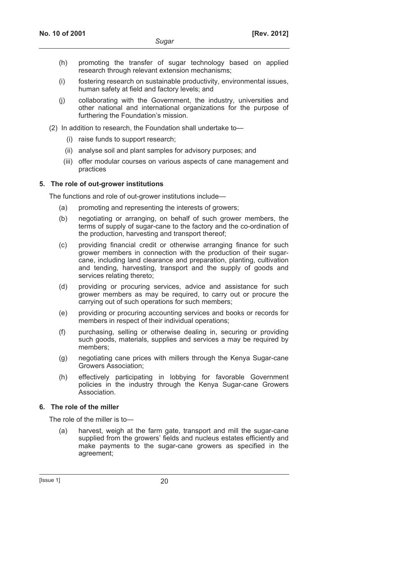- (h) promoting the transfer of sugar technology based on applied research through relevant extension mechanisms;
- (i) fostering research on sustainable productivity, environmental issues, human safety at field and factory levels; and
- (j) collaborating with the Government, the industry, universities and other national and international organizations for the purpose of furthering the Foundation's mission.
- (2) In addition to research, the Foundation shall undertake to—
	- (i) raise funds to support research;
	- (ii) analyse soil and plant samples for advisory purposes; and
	- (iii) offer modular courses on various aspects of cane management and practices

# **5. The role of out-grower institutions**

The functions and role of out-grower institutions include—

- (a) promoting and representing the interests of growers;
- (b) negotiating or arranging, on behalf of such grower members, the terms of supply of sugar-cane to the factory and the co-ordination of the production, harvesting and transport thereof;
- (c) providing financial credit or otherwise arranging finance for such grower members in connection with the production of their sugarcane, including land clearance and preparation, planting, cultivation and tending, harvesting, transport and the supply of goods and services relating thereto;
- (d) providing or procuring services, advice and assistance for such grower members as may be required, to carry out or procure the carrying out of such operations for such members;
- (e) providing or procuring accounting services and books or records for members in respect of their individual operations;
- (f) purchasing, selling or otherwise dealing in, securing or providing such goods, materials, supplies and services a may be required by members;
- (g) negotiating cane prices with millers through the Kenya Sugar-cane Growers Association;
- (h) effectively participating in lobbying for favorable Government policies in the industry through the Kenya Sugar-cane Growers Association.

# **6. The role of the miller**

The role of the miller is to—

 (a) harvest, weigh at the farm gate, transport and mill the sugar-cane supplied from the growers' fields and nucleus estates efficiently and make payments to the sugar-cane growers as specified in the agreement;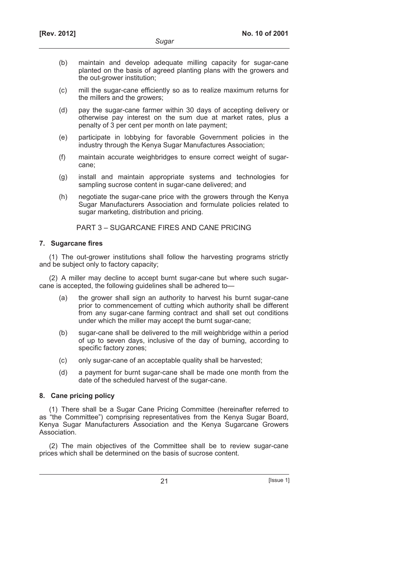- (b) maintain and develop adequate milling capacity for sugar-cane planted on the basis of agreed planting plans with the growers and the out-grower institution;
- (c) mill the sugar-cane efficiently so as to realize maximum returns for the millers and the growers;
- (d) pay the sugar-cane farmer within 30 days of accepting delivery or otherwise pay interest on the sum due at market rates, plus a penalty of 3 per cent per month on late payment;
- (e) participate in lobbying for favorable Government policies in the industry through the Kenya Sugar Manufactures Association;
- (f) maintain accurate weighbridges to ensure correct weight of sugarcane;
- (g) install and maintain appropriate systems and technologies for sampling sucrose content in sugar-cane delivered; and
- (h) negotiate the sugar-cane price with the growers through the Kenya Sugar Manufacturers Association and formulate policies related to sugar marketing, distribution and pricing.

PART 3 – SUGARCANE FIRES AND CANE PRICING

### **7. Sugarcane fires**

(1) The out-grower institutions shall follow the harvesting programs strictly and be subject only to factory capacity;

(2) A miller may decline to accept burnt sugar-cane but where such sugarcane is accepted, the following guidelines shall be adhered to—

- (a) the grower shall sign an authority to harvest his burnt sugar-cane prior to commencement of cutting which authority shall be different from any sugar-cane farming contract and shall set out conditions under which the miller may accept the burnt sugar-cane;
- (b) sugar-cane shall be delivered to the mill weighbridge within a period of up to seven days, inclusive of the day of burning, according to specific factory zones;
- (c) only sugar-cane of an acceptable quality shall be harvested;
- (d) a payment for burnt sugar-cane shall be made one month from the date of the scheduled harvest of the sugar-cane.

# **8. Cane pricing policy**

(1) There shall be a Sugar Cane Pricing Committee (hereinafter referred to as "the Committee") comprising representatives from the Kenya Sugar Board, Kenya Sugar Manufacturers Association and the Kenya Sugarcane Growers Association.

(2) The main objectives of the Committee shall be to review sugar-cane prices which shall be determined on the basis of sucrose content.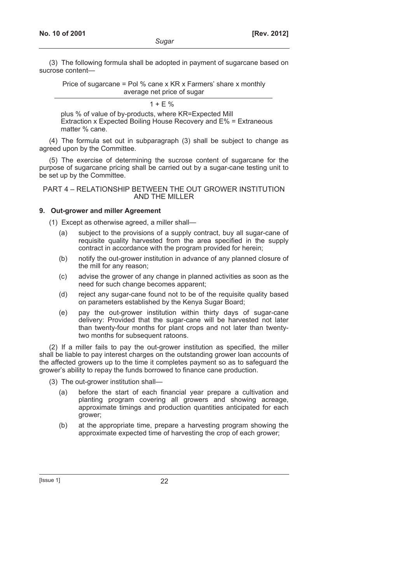(3) The following formula shall be adopted in payment of sugarcane based on sucrose content—

Price of sugarcane = Pol % cane x KR x Farmers' share x monthly average net price of sugar

 $1 + E \%$ 

plus % of value of by-products, where KR=Expected Mill Extraction x Expected Boiling House Recovery and E% = Extraneous matter % cane.

(4) The formula set out in subparagraph (3) shall be subject to change as agreed upon by the Committee.

(5) The exercise of determining the sucrose content of sugarcane for the purpose of sugarcane pricing shall be carried out by a sugar-cane testing unit to be set up by the Committee.

### PART 4 – RELATIONSHIP BETWEEN THE OUT GROWER INSTITUTION AND THE MILLER

# **9. Out-grower and miller Agreement**

(1) Except as otherwise agreed, a miller shall—

- (a) subject to the provisions of a supply contract, buy all sugar-cane of requisite quality harvested from the area specified in the supply contract in accordance with the program provided for herein;
- (b) notify the out-grower institution in advance of any planned closure of the mill for any reason;
- (c) advise the grower of any change in planned activities as soon as the need for such change becomes apparent;
- (d) reject any sugar-cane found not to be of the requisite quality based on parameters established by the Kenya Sugar Board;
- (e) pay the out-grower institution within thirty days of sugar-cane delivery: Provided that the sugar-cane will be harvested not later than twenty-four months for plant crops and not later than twentytwo months for subsequent ratoons.

(2) If a miller fails to pay the out-grower institution as specified, the miller shall be liable to pay interest charges on the outstanding grower loan accounts of the affected growers up to the time it completes payment so as to safeguard the grower's ability to repay the funds borrowed to finance cane production.

- (3) The out-grower institution shall—
	- (a) before the start of each financial year prepare a cultivation and planting program covering all growers and showing acreage, approximate timings and production quantities anticipated for each grower;
	- (b) at the appropriate time, prepare a harvesting program showing the approximate expected time of harvesting the crop of each grower;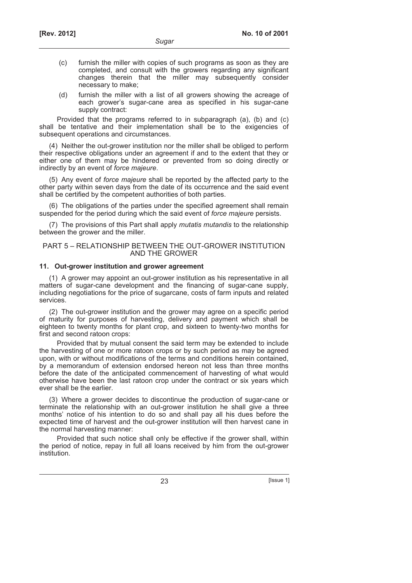- (c) furnish the miller with copies of such programs as soon as they are completed, and consult with the growers regarding any significant changes therein that the miller may subsequently consider necessary to make;
- (d) furnish the miller with a list of all growers showing the acreage of each grower's sugar-cane area as specified in his sugar-cane supply contract:

Provided that the programs referred to in subparagraph (a), (b) and (c) shall be tentative and their implementation shall be to the exigencies of subsequent operations and circumstances.

(4) Neither the out-grower institution nor the miller shall be obliged to perform their respective obligations under an agreement if and to the extent that they or either one of them may be hindered or prevented from so doing directly or indirectly by an event of *force majeure*.

(5) Any event of *force majeure* shall be reported by the affected party to the other party within seven days from the date of its occurrence and the said event shall be certified by the competent authorities of both parties.

(6) The obligations of the parties under the specified agreement shall remain suspended for the period during which the said event of *force majeure* persists.

(7) The provisions of this Part shall apply *mutatis mutandis* to the relationship between the grower and the miller.

### PART 5 – RELATIONSHIP BETWEEN THE OUT-GROWER INSTITUTION AND THE GROWER

## **11. Out-grower institution and grower agreement**

(1) A grower may appoint an out-grower institution as his representative in all matters of sugar-cane development and the financing of sugar-cane supply, including negotiations for the price of sugarcane, costs of farm inputs and related services.

(2) The out-grower institution and the grower may agree on a specific period of maturity for purposes of harvesting, delivery and payment which shall be eighteen to twenty months for plant crop, and sixteen to twenty-two months for first and second ratoon crops:

Provided that by mutual consent the said term may be extended to include the harvesting of one or more ratoon crops or by such period as may be agreed upon, with or without modifications of the terms and conditions herein contained, by a memorandum of extension endorsed hereon not less than three months before the date of the anticipated commencement of harvesting of what would otherwise have been the last ratoon crop under the contract or six years which ever shall be the earlier.

(3) Where a grower decides to discontinue the production of sugar-cane or terminate the relationship with an out-grower institution he shall give a three months' notice of his intention to do so and shall pay all his dues before the expected time of harvest and the out-grower institution will then harvest cane in the normal harvesting manner:

Provided that such notice shall only be effective if the grower shall, within the period of notice, repay in full all loans received by him from the out-grower institution.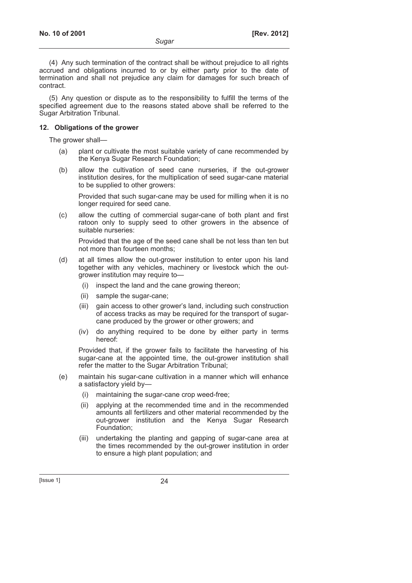(4) Any such termination of the contract shall be without prejudice to all rights accrued and obligations incurred to or by either party prior to the date of termination and shall not prejudice any claim for damages for such breach of contract.

(5) Any question or dispute as to the responsibility to fulfill the terms of the specified agreement due to the reasons stated above shall be referred to the Sugar Arbitration Tribunal.

### **12. Obligations of the grower**

The grower shall—

- (a) plant or cultivate the most suitable variety of cane recommended by the Kenya Sugar Research Foundation;
- (b) allow the cultivation of seed cane nurseries, if the out-grower institution desires, for the multiplication of seed sugar-cane material to be supplied to other growers:

 Provided that such sugar-cane may be used for milling when it is no longer required for seed cane.

 (c) allow the cutting of commercial sugar-cane of both plant and first ratoon only to supply seed to other growers in the absence of suitable nurseries:

 Provided that the age of the seed cane shall be not less than ten but not more than fourteen months;

- (d) at all times allow the out-grower institution to enter upon his land together with any vehicles, machinery or livestock which the outgrower institution may require to—
	- (i) inspect the land and the cane growing thereon;
	- (ii) sample the sugar-cane;
	- (iii) gain access to other grower's land, including such construction of access tracks as may be required for the transport of sugarcane produced by the grower or other growers; and
	- (iv) do anything required to be done by either party in terms hereof:

 Provided that, if the grower fails to facilitate the harvesting of his sugar-cane at the appointed time, the out-grower institution shall refer the matter to the Sugar Arbitration Tribunal;

- (e) maintain his sugar-cane cultivation in a manner which will enhance a satisfactory yield by—
	- (i) maintaining the sugar-cane crop weed-free;
	- (ii) applying at the recommended time and in the recommended amounts all fertilizers and other material recommended by the out-grower institution and the Kenya Sugar Research Foundation;
	- (iii) undertaking the planting and gapping of sugar-cane area at the times recommended by the out-grower institution in order to ensure a high plant population; and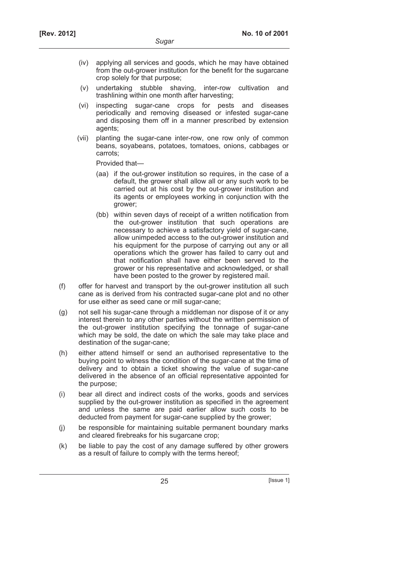- (iv) applying all services and goods, which he may have obtained from the out-grower institution for the benefit for the sugarcane crop solely for that purpose;
- (v) undertaking stubble shaving, inter-row cultivation and trashlining within one month after harvesting;
- (vi) inspecting sugar-cane crops for pests and diseases periodically and removing diseased or infested sugar-cane and disposing them off in a manner prescribed by extension agents;
- (vii) planting the sugar-cane inter-row, one row only of common beans, soyabeans, potatoes, tomatoes, onions, cabbages or carrots;

Provided that—

- (aa) if the out-grower institution so requires, in the case of a default, the grower shall allow all or any such work to be carried out at his cost by the out-grower institution and its agents or employees working in conjunction with the grower;
- (bb) within seven days of receipt of a written notification from the out-grower institution that such operations are necessary to achieve a satisfactory yield of sugar-cane, allow unimpeded access to the out-grower institution and his equipment for the purpose of carrying out any or all operations which the grower has failed to carry out and that notification shall have either been served to the grower or his representative and acknowledged, or shall have been posted to the grower by registered mail.
- (f) offer for harvest and transport by the out-grower institution all such cane as is derived from his contracted sugar-cane plot and no other for use either as seed cane or mill sugar-cane;
- (g) not sell his sugar-cane through a middleman nor dispose of it or any interest therein to any other parties without the written permission of the out-grower institution specifying the tonnage of sugar-cane which may be sold, the date on which the sale may take place and destination of the sugar-cane;
- (h) either attend himself or send an authorised representative to the buying point to witness the condition of the sugar-cane at the time of delivery and to obtain a ticket showing the value of sugar-cane delivered in the absence of an official representative appointed for the purpose;
- (i) bear all direct and indirect costs of the works, goods and services supplied by the out-grower institution as specified in the agreement and unless the same are paid earlier allow such costs to be deducted from payment for sugar-cane supplied by the grower;
- (j) be responsible for maintaining suitable permanent boundary marks and cleared firebreaks for his sugarcane crop;
- (k) be liable to pay the cost of any damage suffered by other growers as a result of failure to comply with the terms hereof;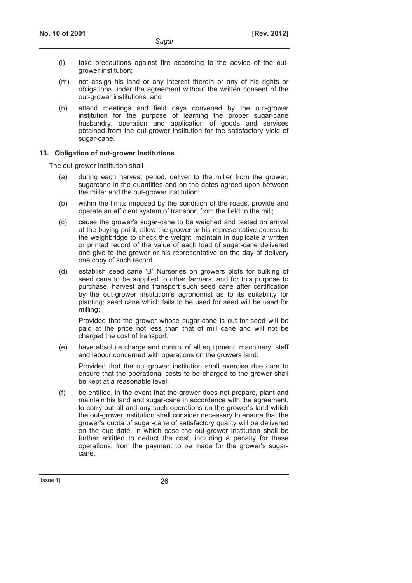- (l) take precautions against fire according to the advice of the outgrower institution;
- (m) not assign his land or any interest therein or any of his rights or obligations under the agreement without the written consent of the out-grower institutions; and
- (n) attend meetings and field days convened by the out-grower institution for the purpose of learning the proper sugar-cane husbandry, operation and application of goods and services obtained from the out-grower institution for the satisfactory yield of sugar-cane.

### **13. Obligation of out-grower Institutions**

The out-grower institution shall—

- (a) during each harvest period, deliver to the miller from the grower, sugarcane in the quantities and on the dates agreed upon between the miller and the out-grower institution;
- (b) within the limits imposed by the condition of the roads, provide and operate an efficient system of transport from the field to the mill;
- (c) cause the grower's sugar-cane to be weighed and tested on arrival at the buying point, allow the grower or his representative access to the weighbridge to check the weight, maintain in duplicate a written or printed record of the value of each load of sugar-cane delivered and give to the grower or his representative on the day of delivery one copy of such record.
- (d) establish seed cane 'B' Nurseries on growers plots for bulking of seed cane to be supplied to other farmers, and for this purpose to purchase, harvest and transport such seed cane after certification by the out-grower institution's agronomist as to its suitability for planting; seed cane which fails to be used for seed will be used for milling:

 Provided that the grower whose sugar-cane is cut for seed will be paid at the price not less than that of mill cane and will not be charged the cost of transport.

 (e) have absolute charge and control of all equipment, machinery, staff and labour concerned with operations on the growers land:

 Provided that the out-grower institution shall exercise due care to ensure that the operational costs to be charged to the grower shall be kept at a reasonable level;

 (f) be entitled, in the event that the grower does not prepare, plant and maintain his land and sugar-cane in accordance with the agreement, to carry out all and any such operations on the grower's land which the out-grower institution shall consider necessary to ensure that the grower's quota of sugar-cane of satisfactory quality will be delivered on the due date, in which case the out-grower institution shall be further entitled to deduct the cost, including a penalty for these operations, from the payment to be made for the grower's sugarcane.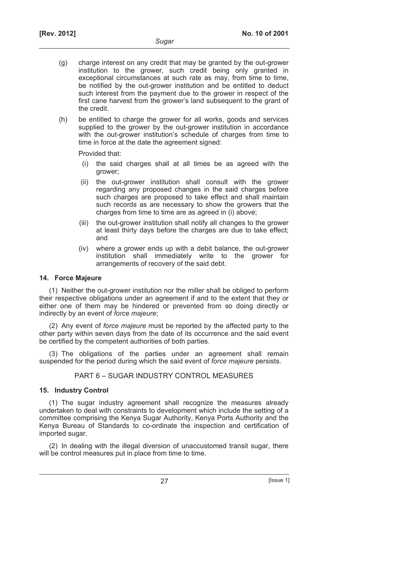- (g) charge interest on any credit that may be granted by the out-grower institution to the grower, such credit being only granted in exceptional circumstances at such rate as may, from time to time, be notified by the out-grower institution and be entitled to deduct such interest from the payment due to the grower in respect of the first cane harvest from the grower's land subsequent to the grant of the credit.
- (h) be entitled to charge the grower for all works, goods and services supplied to the grower by the out-grower institution in accordance with the out-grower institution's schedule of charges from time to time in force at the date the agreement signed:

Provided that:

- (i) the said charges shall at all times be as agreed with the grower;
- (ii) the out-grower institution shall consult with the grower regarding any proposed changes in the said charges before such charges are proposed to take effect and shall maintain such records as are necessary to show the growers that the charges from time to time are as agreed in (i) above;
- (iii) the out-grower institution shall notify all changes to the grower at least thirty days before the charges are due to take effect; and
- (iv) where a grower ends up with a debit balance, the out-grower institution shall immediately write to the grower for arrangements of recovery of the said debt.

### **14. Force Majeure**

(1) Neither the out-grower institution nor the miller shall be obliged to perform their respective obligations under an agreement if and to the extent that they or either one of them may be hindered or prevented from so doing directly or indirectly by an event of *force majeure*;

(2) Any event of *force majeure* must be reported by the affected party to the other party within seven days from the date of its occurrence and the said event be certified by the competent authorities of both parties.

(3) The obligations of the parties under an agreement shall remain suspended for the period during which the said event of *force majeure* persists.

PART 6 – SUGAR INDUSTRY CONTROL MEASURES

# **15. Industry Control**

(1) The sugar industry agreement shall recognize the measures already undertaken to deal with constraints to development which include the setting of a committee comprising the Kenya Sugar Authority, Kenya Ports Authority and the Kenya Bureau of Standards to co-ordinate the inspection and certification of imported sugar.

(2) In dealing with the illegal diversion of unaccustomed transit sugar, there will be control measures put in place from time to time.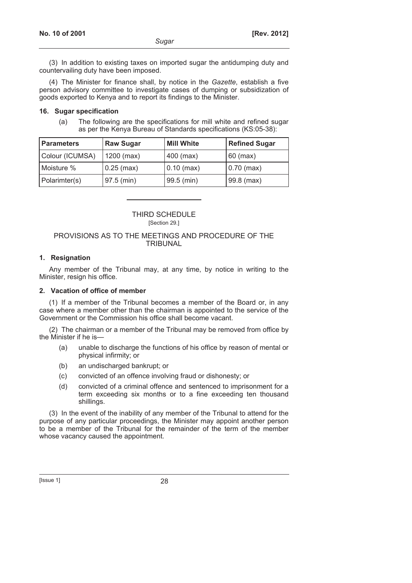(3) In addition to existing taxes on imported sugar the antidumping duty and countervailing duty have been imposed.

(4) The Minister for finance shall, by notice in the *Gazette*, establish a five person advisory committee to investigate cases of dumping or subsidization of goods exported to Kenya and to report its findings to the Minister.

### **16. Sugar specification**

 (a) The following are the specifications for mill white and refined sugar as per the Kenya Bureau of Standards specifications (KS:05-38):

| <b>Parameters</b> | <b>Raw Sugar</b> | <b>Mill White</b> | <b>Refined Sugar</b> |
|-------------------|------------------|-------------------|----------------------|
| Colour (ICUMSA)   | $1200$ (max)     | 400 (max)         | $60$ (max)           |
| Moisture %        | $0.25$ (max)     | $0.10$ (max)      | $0.70$ (max)         |
| Polarimter(s)     | 97.5 (min)       | 99.5 (min)        | $99.8$ (max)         |

### THIRD SCHEDULE [Section 29.]

### PROVISIONS AS TO THE MEETINGS AND PROCEDURE OF THE TRIBUNAL

### **1. Resignation**

Any member of the Tribunal may, at any time, by notice in writing to the Minister, resign his office.

### **2. Vacation of office of member**

(1) If a member of the Tribunal becomes a member of the Board or, in any case where a member other than the chairman is appointed to the service of the Government or the Commission his office shall become vacant.

(2) The chairman or a member of the Tribunal may be removed from office by the Minister if he is—

- (a) unable to discharge the functions of his office by reason of mental or physical infirmity; or
- (b) an undischarged bankrupt; or
- (c) convicted of an offence involving fraud or dishonesty; or
- (d) convicted of a criminal offence and sentenced to imprisonment for a term exceeding six months or to a fine exceeding ten thousand shillings.

(3) In the event of the inability of any member of the Tribunal to attend for the purpose of any particular proceedings, the Minister may appoint another person to be a member of the Tribunal for the remainder of the term of the member whose vacancy caused the appointment.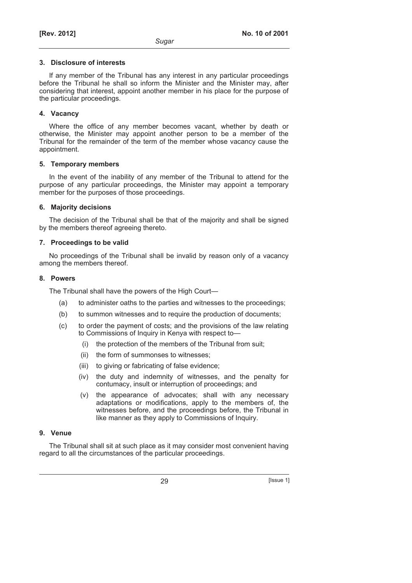#### **3. Disclosure of interests**

If any member of the Tribunal has any interest in any particular proceedings before the Tribunal he shall so inform the Minister and the Minister may, after considering that interest, appoint another member in his place for the purpose of the particular proceedings.

### **4. Vacancy**

Where the office of any member becomes vacant, whether by death or otherwise, the Minister may appoint another person to be a member of the Tribunal for the remainder of the term of the member whose vacancy cause the appointment.

### **5. Temporary members**

In the event of the inability of any member of the Tribunal to attend for the purpose of any particular proceedings, the Minister may appoint a temporary member for the purposes of those proceedings.

### **6. Majority decisions**

The decision of the Tribunal shall be that of the majority and shall be signed by the members thereof agreeing thereto.

### **7. Proceedings to be valid**

No proceedings of the Tribunal shall be invalid by reason only of a vacancy among the members thereof.

### **8. Powers**

The Tribunal shall have the powers of the High Court—

- (a) to administer oaths to the parties and witnesses to the proceedings;
- (b) to summon witnesses and to require the production of documents;
- (c) to order the payment of costs; and the provisions of the law relating to Commissions of Inquiry in Kenya with respect to—
	- (i) the protection of the members of the Tribunal from suit;
	- (ii) the form of summonses to witnesses;
	- (iii) to giving or fabricating of false evidence;
	- (iv) the duty and indemnity of witnesses, and the penalty for contumacy, insult or interruption of proceedings; and
	- (v) the appearance of advocates; shall with any necessary adaptations or modifications, apply to the members of, the witnesses before, and the proceedings before, the Tribunal in like manner as they apply to Commissions of Inquiry.

### **9. Venue**

The Tribunal shall sit at such place as it may consider most convenient having regard to all the circumstances of the particular proceedings.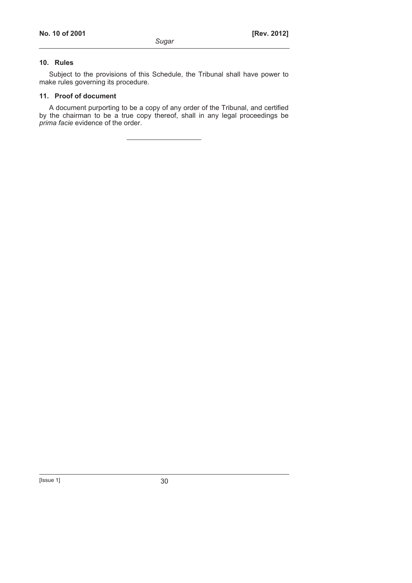# **10. Rules**

Subject to the provisions of this Schedule, the Tribunal shall have power to make rules governing its procedure.

### **11. Proof of document**

A document purporting to be a copy of any order of the Tribunal, and certified by the chairman to be a true copy thereof, shall in any legal proceedings be *prima facie* evidence of the order.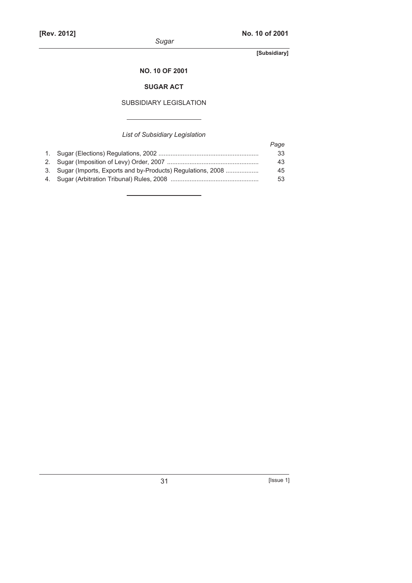### **NO. 10 OF 2001**

# **SUGAR ACT**

# SUBSIDIARY LEGISLATION

# *List of Subsidiary Legislation*

|                                                               | Page |
|---------------------------------------------------------------|------|
|                                                               | 33   |
|                                                               | 43   |
| 3. Sugar (Imports, Exports and by-Products) Regulations, 2008 | 45   |
|                                                               | 53   |
|                                                               |      |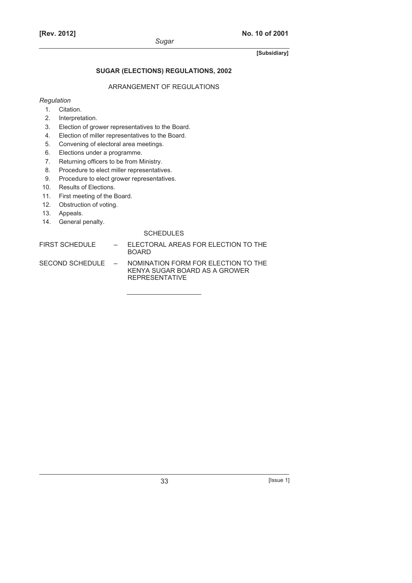# **SUGAR (ELECTIONS) REGULATIONS, 2002**

### ARRANGEMENT OF REGULATIONS

### *Regulation*

- 1. Citation.
- 2. Interpretation.
- 3. Election of grower representatives to the Board.
- 4. Election of miller representatives to the Board.
- 5. Convening of electoral area meetings.
- 6. Elections under a programme.
- 7. Returning officers to be from Ministry.
- 8. Procedure to elect miller representatives.
- 9. Procedure to elect grower representatives.
- 10. Results of Elections.
- 11. First meeting of the Board.
- 12. Obstruction of voting.
- 13. Appeals.
- 14. General penalty.

#### **SCHEDULES**

FIRST SCHEDULE – ELECTORAL AREAS FOR ELECTION TO THE BOARD

SECOND SCHEDULE – NOMINATION FORM FOR ELECTION TO THE KENYA SUGAR BOARD AS A GROWER REPRESENTATIVE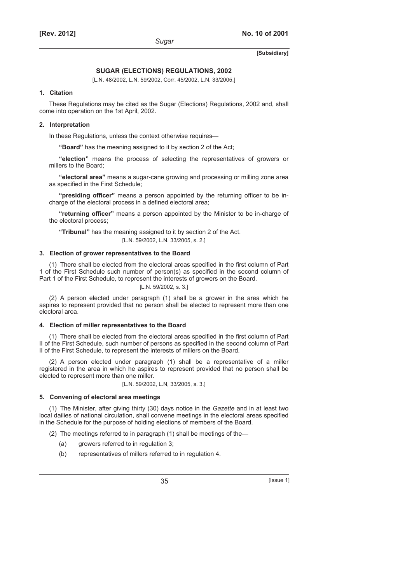#### **SUGAR (ELECTIONS) REGULATIONS, 2002**

[L.N. 48/2002, L.N. 59/2002, Corr. 45/2002, L.N. 33/2005.]

#### **1. Citation**

These Regulations may be cited as the Sugar (Elections) Regulations, 2002 and, shall come into operation on the 1st April, 2002.

#### **2. Interpretation**

In these Regulations, unless the context otherwise requires—

**"Board"** has the meaning assigned to it by section 2 of the Act;

**"election"** means the process of selecting the representatives of growers or millers to the Board;

**"electoral area"** means a sugar-cane growing and processing or milling zone area as specified in the First Schedule;

**"presiding officer"** means a person appointed by the returning officer to be incharge of the electoral process in a defined electoral area;

**"returning officer"** means a person appointed by the Minister to be in-charge of the electoral process;

**"Tribunal"** has the meaning assigned to it by section 2 of the Act. [L.N. 59/2002, L.N. 33/2005, s. 2.]

#### **3. Election of grower representatives to the Board**

(1) There shall be elected from the electoral areas specified in the first column of Part 1 of the First Schedule such number of person(s) as specified in the second column of Part 1 of the First Schedule, to represent the interests of growers on the Board.

[L.N. 59/2002, s. 3.]

(2) A person elected under paragraph (1) shall be a grower in the area which he aspires to represent provided that no person shall be elected to represent more than one electoral area.

#### **4. Election of miller representatives to the Board**

(1) There shall be elected from the electoral areas specified in the first column of Part II of the First Schedule, such number of persons as specified in the second column of Part II of the First Schedule, to represent the interests of millers on the Board.

(2) A person elected under paragraph (1) shall be a representative of a miller registered in the area in which he aspires to represent provided that no person shall be elected to represent more than one miller.

[L.N. 59/2002, L.N, 33/2005, s. 3.]

#### **5. Convening of electoral area meetings**

(1) The Minister, after giving thirty (30) days notice in the *Gazette* and in at least two local dailies of national circulation, shall convene meetings in the electoral areas specified in the Schedule for the purpose of holding elections of members of the Board.

(2) The meetings referred to in paragraph (1) shall be meetings of the—

- (a) growers referred to in regulation 3;
- (b) representatives of millers referred to in regulation 4.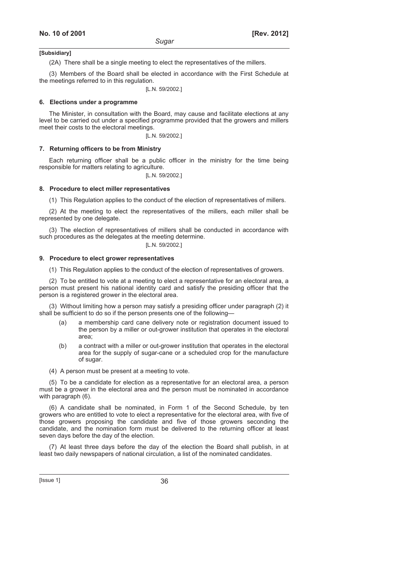(2A) There shall be a single meeting to elect the representatives of the millers.

(3) Members of the Board shall be elected in accordance with the First Schedule at the meetings referred to in this regulation.

[L.N. 59/2002.]

#### **6. Elections under a programme**

The Minister, in consultation with the Board, may cause and facilitate elections at any level to be carried out under a specified programme provided that the growers and millers meet their costs to the electoral meetings.

[L.N. 59/2002.]

#### **7. Returning officers to be from Ministry**

Each returning officer shall be a public officer in the ministry for the time being responsible for matters relating to agriculture.

[L.N. 59/2002.]

#### **8. Procedure to elect miller representatives**

(1) This Regulation applies to the conduct of the election of representatives of millers.

(2) At the meeting to elect the representatives of the millers, each miller shall be represented by one delegate.

(3) The election of representatives of millers shall be conducted in accordance with such procedures as the delegates at the meeting determine.

[L.N. 59/2002.]

#### **9. Procedure to elect grower representatives**

(1) This Regulation applies to the conduct of the election of representatives of growers.

(2) To be entitled to vote at a meeting to elect a representative for an electoral area, a person must present his national identity card and satisfy the presiding officer that the person is a registered grower in the electoral area.

(3) Without limiting how a person may satisfy a presiding officer under paragraph (2) it shall be sufficient to do so if the person presents one of the following—

- (a) a membership card cane delivery note or registration document issued to the person by a miller or out-grower institution that operates in the electoral area;
- (b) a contract with a miller or out-grower institution that operates in the electoral area for the supply of sugar-cane or a scheduled crop for the manufacture of sugar.
- (4) A person must be present at a meeting to vote.

(5) To be a candidate for election as a representative for an electoral area, a person must be a grower in the electoral area and the person must be nominated in accordance with paragraph (6).

(6) A candidate shall be nominated, in Form 1 of the Second Schedule, by ten growers who are entitled to vote to elect a representative for the electoral area, with five of those growers proposing the candidate and five of those growers seconding the candidate, and the nomination form must be delivered to the returning officer at least seven days before the day of the election.

(7) At least three days before the day of the election the Board shall publish, in at least two daily newspapers of national circulation, a list of the nominated candidates.

 $[|$ ssue 1 $]$  36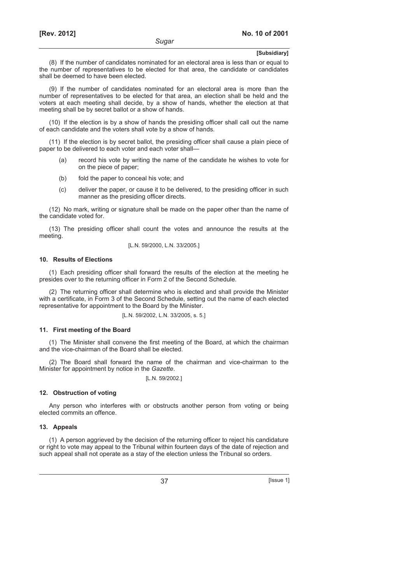(8) If the number of candidates nominated for an electoral area is less than or equal to the number of representatives to be elected for that area, the candidate or candidates shall be deemed to have been elected.

(9) If the number of candidates nominated for an electoral area is more than the number of representatives to be elected for that area, an election shall be held and the voters at each meeting shall decide, by a show of hands, whether the election at that meeting shall be by secret ballot or a show of hands.

(10) If the election is by a show of hands the presiding officer shall call out the name of each candidate and the voters shall vote by a show of hands.

(11) If the election is by secret ballot, the presiding officer shall cause a plain piece of paper to be delivered to each voter and each voter shall—

- (a) record his vote by writing the name of the candidate he wishes to vote for on the piece of paper;
- (b) fold the paper to conceal his vote; and
- (c) deliver the paper, or cause it to be delivered, to the presiding officer in such manner as the presiding officer directs.

(12) No mark, writing or signature shall be made on the paper other than the name of the candidate voted for.

(13) The presiding officer shall count the votes and announce the results at the meeting.

[L.N. 59/2000, L.N. 33/2005.]

#### **10. Results of Elections**

(1) Each presiding officer shall forward the results of the election at the meeting he presides over to the returning officer in Form 2 of the Second Schedule.

(2) The returning officer shall determine who is elected and shall provide the Minister with a certificate, in Form 3 of the Second Schedule, setting out the name of each elected representative for appointment to the Board by the Minister.

[L.N. 59/2002, L.N. 33/2005, s. 5.]

#### **11. First meeting of the Board**

(1) The Minister shall convene the first meeting of the Board, at which the chairman and the vice-chairman of the Board shall be elected.

(2) The Board shall forward the name of the chairman and vice-chairman to the Minister for appointment by notice in the *Gazette*.

[L.N. 59/2002.]

#### **12. Obstruction of voting**

Any person who interferes with or obstructs another person from voting or being elected commits an offence.

#### **13. Appeals**

(1) A person aggrieved by the decision of the returning officer to reject his candidature or right to vote may appeal to the Tribunal within fourteen days of the date of rejection and such appeal shall not operate as a stay of the election unless the Tribunal so orders.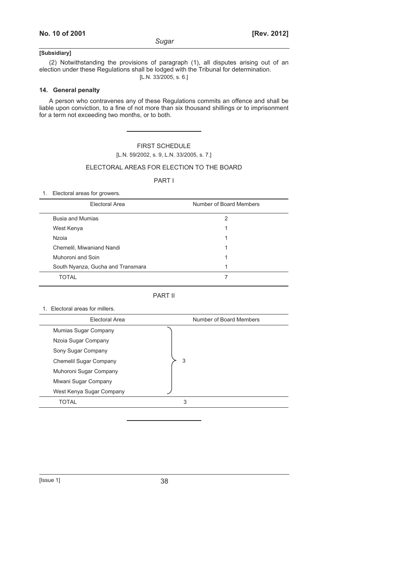*Sugar* 

# **[Subsidiary]**

(2) Notwithstanding the provisions of paragraph (1), all disputes arising out of an election under these Regulations shall be lodged with the Tribunal for determination. [L.N. 33/2005, s. 6.]

# **14. General penalty**

A person who contravenes any of these Regulations commits an offence and shall be liable upon conviction, to a fine of not more than six thousand shillings or to imprisonment for a term not exceeding two months, or to both.

> FIRST SCHEDULE [L.N. 59/2002, s. 9, L.N. 33/2005, s. 7.]

#### ELECTORAL AREAS FOR ELECTION TO THE BOARD

### PART I

1. Electoral areas for growers.

| Electoral Area                    | Number of Board Members |
|-----------------------------------|-------------------------|
| <b>Busia and Mumias</b>           | 2                       |
| West Kenya                        |                         |
| Nzoia                             |                         |
| Chemelil, Miwaniand Nandi         |                         |
| Muhoroni and Soin                 | 1                       |
| South Nyanza, Gucha and Transmara |                         |
| TOTAI                             |                         |

#### PART II

#### 1. Electoral areas for millers.

| Electoral Area           | Number of Board Members |
|--------------------------|-------------------------|
| Mumias Sugar Company     |                         |
| Nzoia Sugar Company      |                         |
| Sony Sugar Company       |                         |
| Chemelil Sugar Company   | 3                       |
| Muhoroni Sugar Company   |                         |
| Miwani Sugar Company     |                         |
| West Kenya Sugar Company |                         |
| TOTAL                    | 3                       |
|                          |                         |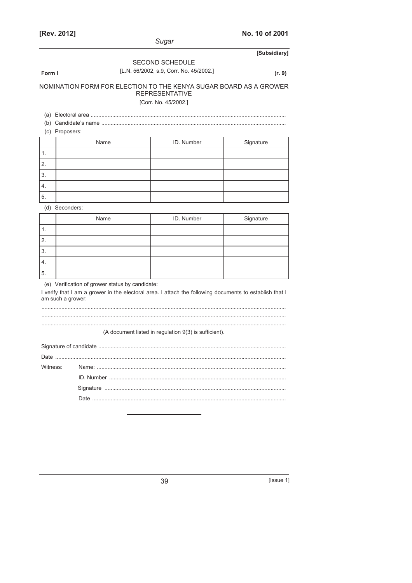|                                                                                                                                                                                 | Sugar                                   |              |  |  |
|---------------------------------------------------------------------------------------------------------------------------------------------------------------------------------|-----------------------------------------|--------------|--|--|
|                                                                                                                                                                                 |                                         | [Subsidiary] |  |  |
|                                                                                                                                                                                 | <b>SECOND SCHEDULE</b>                  |              |  |  |
| Form I                                                                                                                                                                          | [L.N. 56/2002, s.9, Corr. No. 45/2002.] | (r. 9)       |  |  |
| NOMINATION FORM FOR ELECTION TO THE KENYA SUGAR BOARD AS A GROWER<br><b>REPRESENTATIVE</b><br>[Corr. No. 45/2002.]                                                              |                                         |              |  |  |
|                                                                                                                                                                                 |                                         |              |  |  |
| (c) Proposers:                                                                                                                                                                  |                                         |              |  |  |
| Name                                                                                                                                                                            | ID. Number                              | Signature    |  |  |
| 1.                                                                                                                                                                              |                                         |              |  |  |
| 2.                                                                                                                                                                              |                                         |              |  |  |
| 3.                                                                                                                                                                              |                                         |              |  |  |
| 4.                                                                                                                                                                              |                                         |              |  |  |
| 5.                                                                                                                                                                              |                                         |              |  |  |
| (d) Seconders:                                                                                                                                                                  |                                         |              |  |  |
| Name                                                                                                                                                                            | ID. Number                              | Signature    |  |  |
| 1.                                                                                                                                                                              |                                         |              |  |  |
| 2.                                                                                                                                                                              |                                         |              |  |  |
| 3.                                                                                                                                                                              |                                         |              |  |  |
| 4.                                                                                                                                                                              |                                         |              |  |  |
| 5.                                                                                                                                                                              |                                         |              |  |  |
| (e) Verification of grower status by candidate:<br>I verify that I am a grower in the electoral area. I attach the following documents to establish that I<br>am such a grower: |                                         |              |  |  |

(A document listed in regulation 9(3) is sufficient).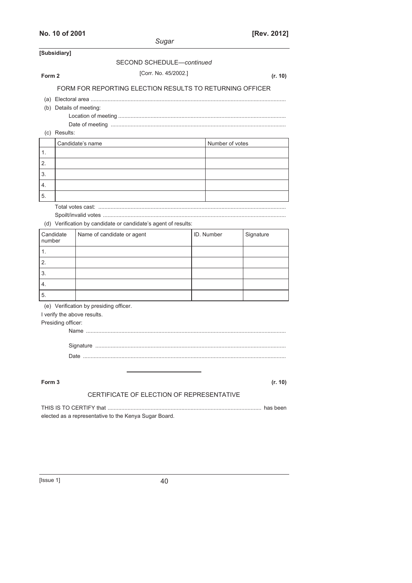| No. 10 of 2001                                    |                                                          |                 | [Rev. 2012] |
|---------------------------------------------------|----------------------------------------------------------|-----------------|-------------|
|                                                   | Sugar                                                    |                 |             |
| [Subsidiary]                                      | SECOND SCHEDULE-continued                                |                 |             |
|                                                   |                                                          |                 |             |
| Form 2                                            | [Corr. No. 45/2002.]                                     |                 | (r. 10)     |
|                                                   | FORM FOR REPORTING ELECTION RESULTS TO RETURNING OFFICER |                 |             |
| (b) Details of meeting:<br>(c) Results:           |                                                          |                 |             |
|                                                   |                                                          |                 |             |
| 1.                                                | Candidate's name                                         | Number of votes |             |
| 2.                                                |                                                          |                 |             |
| 3.                                                |                                                          |                 |             |
| 4.                                                |                                                          |                 |             |
| 5.                                                |                                                          |                 |             |
| Candidate<br>number<br>1.<br>2.                   | Name of candidate or agent                               | ID. Number      | Signature   |
| 3.                                                |                                                          |                 |             |
| 4.                                                |                                                          |                 |             |
| 5.                                                |                                                          |                 |             |
| I verify the above results.<br>Presiding officer: | (e) Verification by presiding officer.                   |                 |             |
| Form <sub>3</sub>                                 | CERTIFICATE OF ELECTION OF REPRESENTATIVE                |                 | (r. 10)     |
|                                                   |                                                          |                 |             |
|                                                   | elected as a representative to the Kenya Sugar Board.    |                 |             |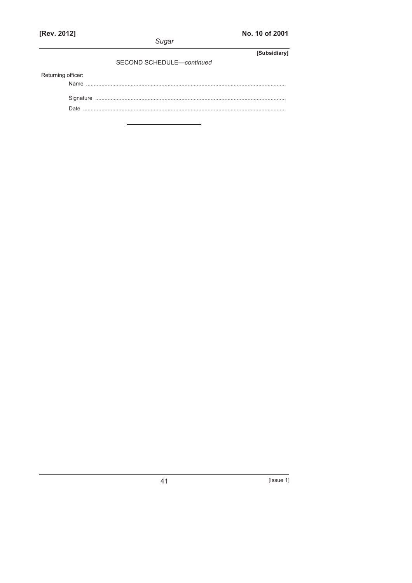|                    |  | Sugar                     |  |              |
|--------------------|--|---------------------------|--|--------------|
|                    |  |                           |  | [Subsidiary] |
|                    |  | SECOND SCHEDULE-continued |  |              |
| Returning officer: |  |                           |  |              |
|                    |  |                           |  |              |
|                    |  |                           |  |              |
|                    |  |                           |  |              |
|                    |  |                           |  |              |
|                    |  |                           |  |              |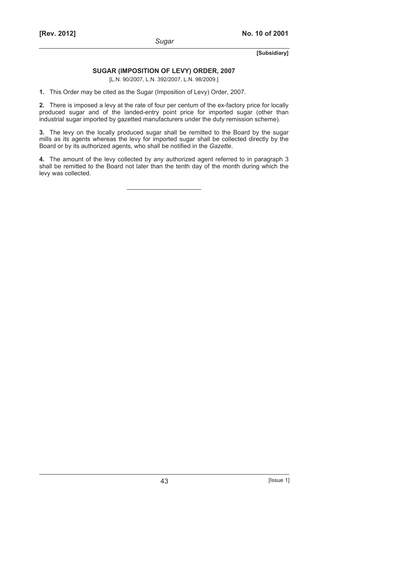# **SUGAR (IMPOSITION OF LEVY) ORDER, 2007**

[L.N. 90/2007, L.N. 392/2007, L.N. 98/2009.]

**1.** This Order may be cited as the Sugar (Imposition of Levy) Order, 2007.

**2.** There is imposed a levy at the rate of four per centum of the ex-factory price for locally produced sugar and of the landed-entry point price for imported sugar (other than industrial sugar imported by gazetted manufacturers under the duty remission scheme).

**3.** The levy on the locally produced sugar shall be remitted to the Board by the sugar mills as its agents whereas the levy for imported sugar shall be collected directly by the Board or by its authorized agents, who shall be notified in the *Gazette*.

**4.** The amount of the levy collected by any authorized agent referred to in paragraph 3 shall be remitted to the Board not later than the tenth day of the month during which the levy was collected.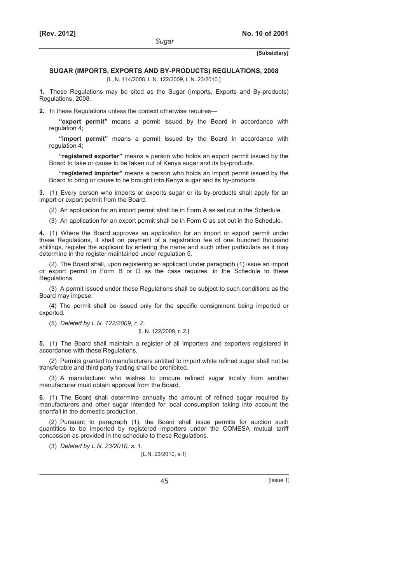#### **SUGAR (IMPORTS, EXPORTS AND BY-PRODUCTS) REGULATIONS, 2008**

*Sugar* 

[L. N. 114/2008, L.N. 122/2009, L.N. 23/2010.]

**1.** These Regulations may be cited as the Sugar (Imports, Exports and By-products) Regulations, 2008.

**2.** In these Regulations unless the context otherwise requires—

**"export permit"** means a permit issued by the Board in accordance with regulation 4;

**"import permit"** means a permit issued by the Board in accordance with regulation 4;

**"registered exporter"** means a person who holds an export permit issued by the Board to take or cause to be taken out of Kenya sugar and its by-products.

**"registered importer"** means a person who holds an import permit issued by the Board to bring or cause to be brought into Kenya sugar and its by-products.

**3.** (1) Every person who imports or exports sugar or its by-products shall apply for an import or export permit from the Board.

(2) An application for an import permit shall be in Form A as set out in the Schedule.

(3) An application for an export permit shall be in Form C as set out in the Schedule.

**4.** (1) Where the Board approves an application for an import or export permit under these Regulations, it shall on payment of a registration fee of one hundred thousand shillings, register the applicant by entering the name and such other particulars as it may determine in the register maintained under regulation 5.

(2) The Board shall, upon registering an applicant under paragraph (1) issue an import or export permit in Form B or D as the case requires, in the Schedule to these Regulations.

(3) A permit issued under these Regulations shall be subject to such conditions as the Board may impose.

(4) The permit shall be issued only for the specific consignment being imported or exported.

(5) *Deleted by L.N. 122/2009, r. 2*.

#### [L.N. 122/2009, r. 2.]

**5.** (1) The Board shall maintain a register of all importers and exporters registered in accordance with these Regulations.

(2) Permits granted to manufacturers entitled to import white refined sugar shall not be transferable and third party trading shall be prohibited.

(3) A manufacturer who wishes to procure refined sugar locally from another manufacturer must obtain approval from the Board.

**6**.(1) The Board shall determine annually the amount of refined sugar required by manufacturers and other sugar intended for local consumption taking into account the shortfall in the domestic production.

(2) Pursuant to paragraph (1), the Board shall issue permits for auction such quantities to be imported by registered importers under the COMESA mutual tariff concession as provided in the schedule to these Regulations.

(3) *Deleted by L.N. 23/2010, s. 1*.

[L.N. 23/2010, s.1]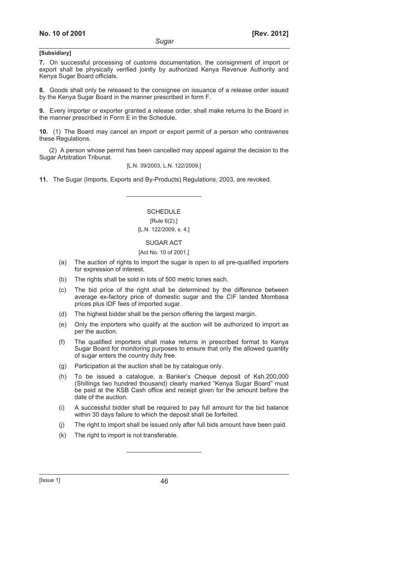**7.** On successful processing of customs documentation, the consignment of import or export shall be physically verified jointly by authorized Kenya Revenue Authority and Kenya Sugar Board officials.

**8.** Goods shall only be released to the consignee on issuance of a release order issued by the Kenya Sugar Board in the manner prescribed in form F.

**9.** Every importer or exporter granted a release order, shall make returns to the Board in the manner prescribed in Form E in the Schedule.

**10.** (1) The Board may cancel an import or export permit of a person who contravenes these Regulations.

(2) A person whose permit has been cancelled may appeal against the decision to the Sugar Arbitration Tribunal.

[L.N. 39/2003, L.N. 122/2009.]

**11.** The Sugar (Imports, Exports and By-Products) Regulations, 2003, are revoked.

**SCHEDULE** [Rule 6(2).] [L.N. 122/2009, s. 4.]

SUGAR ACT [Act No. 10 of 2001.]

- (a) The auction of rights to import the sugar is open to all pre-qualified importers for expression of interest.
- (b) The rights shall be sold in lots of 500 metric tones each.
- (c) The bid price of the right shall be determined by the difference between average ex-factory price of domestic sugar and the CIF landed Mombasa prices plus IDF fees of imported sugar.
- (d) The highest bidder shall be the person offering the largest margin.
- (e) Only the importers who qualify at the auction will be authorized to import as per the auction.
- (f) The qualified importers shall make returns in prescribed format to Kenya Sugar Board for monitoring purposes to ensure that only the allowed quantity of sugar enters the country duty free.
- (g) Participation at the auction shall be by catalogue only.
- (h) To be issued a catalogue, a Banker's Cheque deposit of Ksh.200,000 (Shillings two hundred thousand) clearly marked "Kenya Sugar Board" must be paid at the KSB Cash office and receipt given for the amount before the date of the auction.
- (i) A successful bidder shall be required to pay full amount for the bid balance within 30 days failure to which the deposit shall be forfeited.
- (j) The right to import shall be issued only after full bids amount have been paid.
- (k) The right to import is not transferable.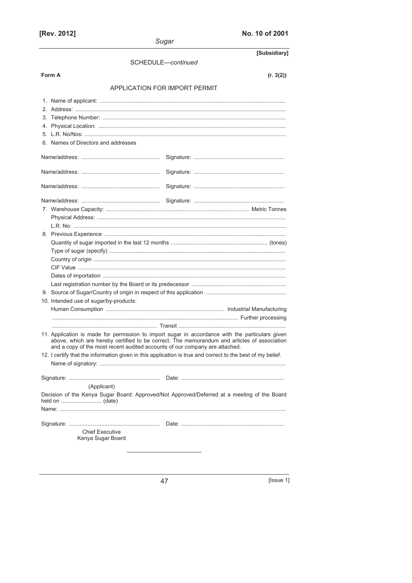| [Rev. 2012]                                                                 | No. 10 of 2001<br>Sugar                                                                                                                                                                        |
|-----------------------------------------------------------------------------|------------------------------------------------------------------------------------------------------------------------------------------------------------------------------------------------|
|                                                                             | [Subsidiary]                                                                                                                                                                                   |
|                                                                             | SCHEDULE-continued                                                                                                                                                                             |
| Form A                                                                      | (r. 3(2))                                                                                                                                                                                      |
|                                                                             | <b>APPLICATION FOR IMPORT PERMIT</b>                                                                                                                                                           |
|                                                                             |                                                                                                                                                                                                |
|                                                                             |                                                                                                                                                                                                |
|                                                                             |                                                                                                                                                                                                |
|                                                                             |                                                                                                                                                                                                |
|                                                                             |                                                                                                                                                                                                |
| 6. Names of Directors and addresses                                         |                                                                                                                                                                                                |
|                                                                             |                                                                                                                                                                                                |
|                                                                             |                                                                                                                                                                                                |
|                                                                             |                                                                                                                                                                                                |
|                                                                             |                                                                                                                                                                                                |
|                                                                             |                                                                                                                                                                                                |
|                                                                             |                                                                                                                                                                                                |
|                                                                             |                                                                                                                                                                                                |
|                                                                             |                                                                                                                                                                                                |
|                                                                             |                                                                                                                                                                                                |
|                                                                             |                                                                                                                                                                                                |
|                                                                             |                                                                                                                                                                                                |
|                                                                             |                                                                                                                                                                                                |
|                                                                             |                                                                                                                                                                                                |
|                                                                             |                                                                                                                                                                                                |
|                                                                             |                                                                                                                                                                                                |
| 10. Intended use of sugar/by-products:                                      |                                                                                                                                                                                                |
|                                                                             |                                                                                                                                                                                                |
|                                                                             |                                                                                                                                                                                                |
| and a copy of the most recent audited accounts of our company are attached. | 11. Application is made for permission to import sugar in accordance with the particulars given<br>above, which are hereby certified to be correct. The memorandum and articles of association |
|                                                                             | 12. I certify that the information given in this application is true and correct to the best of my belief.                                                                                     |
|                                                                             |                                                                                                                                                                                                |
|                                                                             |                                                                                                                                                                                                |
| (Applicant)                                                                 |                                                                                                                                                                                                |
|                                                                             | Decision of the Kenya Sugar Board: Approved/Not Approved/Deferred at a meeting of the Board                                                                                                    |
|                                                                             |                                                                                                                                                                                                |
|                                                                             |                                                                                                                                                                                                |
| <b>Chief Executive</b><br>Kenya Sugar Board                                 |                                                                                                                                                                                                |
|                                                                             |                                                                                                                                                                                                |

 $\boxed{\text{|issue 1}}$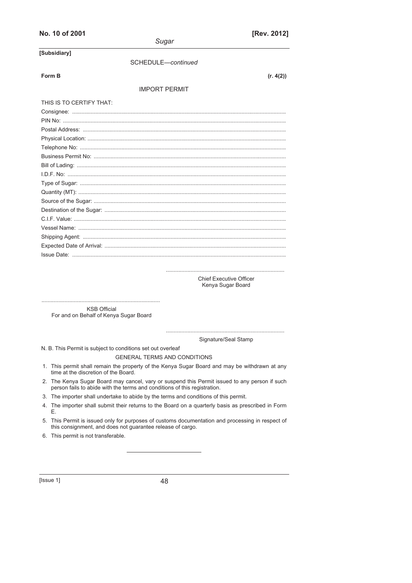# No. 10 of 2001

| Sugar                    |           |
|--------------------------|-----------|
| Subsidiary1              |           |
| SCHEDULE-continued       |           |
| Form B                   | (r. 4(2)) |
| <b>IMPORT PERMIT</b>     |           |
| THIS IS TO CERTIFY THAT: |           |
|                          |           |
|                          |           |
|                          |           |
|                          |           |
|                          |           |
|                          |           |
|                          |           |
|                          |           |
|                          |           |
|                          |           |
|                          |           |
|                          |           |
|                          |           |
|                          |           |
|                          |           |
|                          |           |
|                          |           |

Chief Executive Officer Kenya Sugar Board

**KSB Official** For and on Behalf of Kenya Sugar Board

> Signature/Seal Stamp

N. B. This Permit is subject to conditions set out overleaf

GENERAL TERMS AND CONDITIONS

- 1. This permit shall remain the property of the Kenya Sugar Board and may be withdrawn at any time at the discretion of the Board.
- 2. The Kenya Sugar Board may cancel, vary or suspend this Permit issued to any person if such person fails to abide with the terms and conditions of this registration.
- 3. The importer shall undertake to abide by the terms and conditions of this permit.
- 4. The importer shall submit their returns to the Board on a quarterly basis as prescribed in Form Ε.
- 5. This Permit is issued only for purposes of customs documentation and processing in respect of this consignment, and does not guarantee release of cargo.
- 6. This permit is not transferable.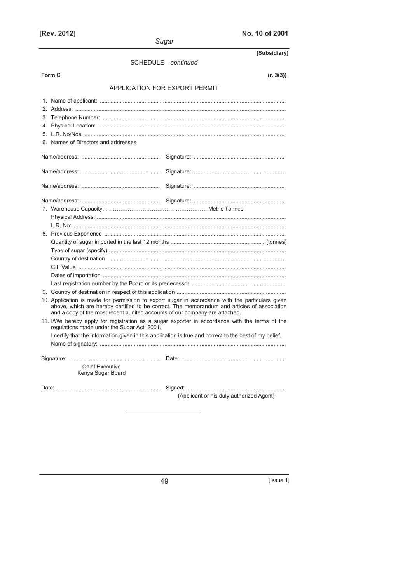| [Rev. 2012]                                                                 | No. 10 of 2001                                                                                                                                                                                 |
|-----------------------------------------------------------------------------|------------------------------------------------------------------------------------------------------------------------------------------------------------------------------------------------|
|                                                                             | Sugar                                                                                                                                                                                          |
|                                                                             | [Subsidiary]                                                                                                                                                                                   |
|                                                                             | SCHEDULE-continued                                                                                                                                                                             |
| Form C                                                                      | (r. 3(3))                                                                                                                                                                                      |
|                                                                             | APPLICATION FOR EXPORT PERMIT                                                                                                                                                                  |
|                                                                             |                                                                                                                                                                                                |
|                                                                             |                                                                                                                                                                                                |
|                                                                             |                                                                                                                                                                                                |
|                                                                             |                                                                                                                                                                                                |
|                                                                             |                                                                                                                                                                                                |
| 6. Names of Directors and addresses                                         |                                                                                                                                                                                                |
|                                                                             |                                                                                                                                                                                                |
|                                                                             |                                                                                                                                                                                                |
|                                                                             |                                                                                                                                                                                                |
|                                                                             |                                                                                                                                                                                                |
|                                                                             |                                                                                                                                                                                                |
|                                                                             |                                                                                                                                                                                                |
|                                                                             |                                                                                                                                                                                                |
|                                                                             |                                                                                                                                                                                                |
|                                                                             |                                                                                                                                                                                                |
|                                                                             |                                                                                                                                                                                                |
|                                                                             |                                                                                                                                                                                                |
|                                                                             |                                                                                                                                                                                                |
|                                                                             |                                                                                                                                                                                                |
|                                                                             |                                                                                                                                                                                                |
|                                                                             |                                                                                                                                                                                                |
|                                                                             |                                                                                                                                                                                                |
| and a copy of the most recent audited accounts of our company are attached. | 10. Application is made for permission to export sugar in accordance with the particulars given<br>above, which are hereby certified to be correct. The memorandum and articles of association |
| regulations made under the Sugar Act, 2001.                                 | 11. I/We hereby apply for registration as a sugar exporter in accordance with the terms of the                                                                                                 |
|                                                                             | I certify that the information given in this application is true and correct to the best of my belief.                                                                                         |
|                                                                             |                                                                                                                                                                                                |
|                                                                             |                                                                                                                                                                                                |
| <b>Chief Executive</b><br>Kenya Sugar Board                                 |                                                                                                                                                                                                |
|                                                                             |                                                                                                                                                                                                |
|                                                                             |                                                                                                                                                                                                |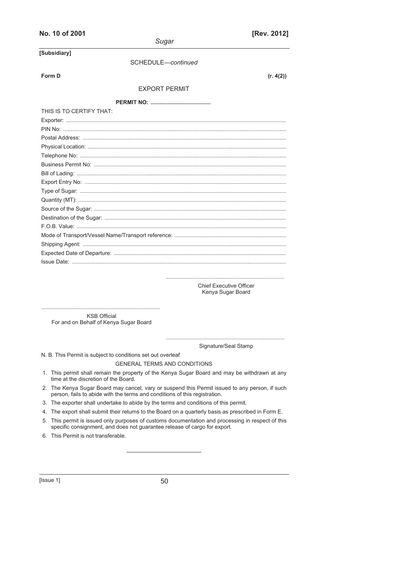| No. 10 of 2001           | [Rev. 2012]                                         |
|--------------------------|-----------------------------------------------------|
|                          | Sugar                                               |
| [Subsidiary]             |                                                     |
|                          | SCHEDULE-continued                                  |
| Form D                   | (r. 4(2))                                           |
|                          |                                                     |
|                          | <b>EXPORT PERMIT</b>                                |
|                          |                                                     |
| THIS IS TO CERTIFY THAT: |                                                     |
|                          |                                                     |
|                          |                                                     |
|                          |                                                     |
|                          |                                                     |
|                          |                                                     |
|                          |                                                     |
|                          |                                                     |
|                          |                                                     |
|                          |                                                     |
|                          |                                                     |
|                          |                                                     |
|                          |                                                     |
|                          |                                                     |
|                          |                                                     |
|                          |                                                     |
|                          |                                                     |
|                          |                                                     |
|                          |                                                     |
|                          | <b>Chief Executive Officer</b><br>Kenya Sugar Board |

............................................................................. KSB Official For and on Behalf of Kenya Sugar Board

> ............................................................................. Signature/Seal Stamp

N. B. This Permit is subject to conditions set out overleaf

GENERAL TERMS AND CONDITIONS

- 1. This permit shall remain the property of the Kenya Sugar Board and may be withdrawn at any time at the discretion of the Board.
- 2. The Kenya Sugar Board may cancel, vary or suspend this Permit issued to any person, if such person, fails to abide with the terms and conditions of this registration.
- 3. The exporter shall undertake to abide by the terms and conditions of this permit.
- 4. The export shall submit their returns to the Board on a quarterly basis as prescribed in Form E.
- 5. This permit is issued only purposes of customs documentation and processing in respect of this specific consignment, and does not guarantee release of cargo for export.
- 6. This Permit is not transferable.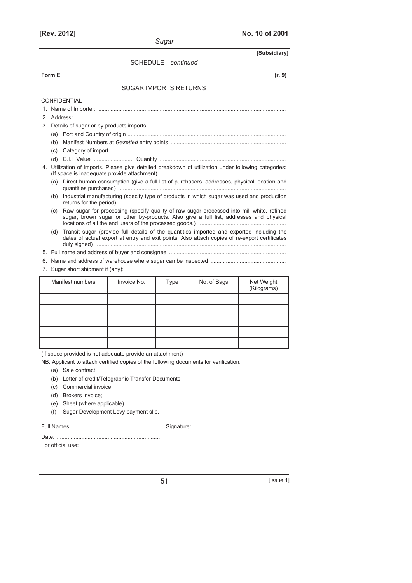$\overline{a}$ 

| Sugar                             |                                             |                              |                    |                                                                                                                                                                                            |                                                           |  |
|-----------------------------------|---------------------------------------------|------------------------------|--------------------|--------------------------------------------------------------------------------------------------------------------------------------------------------------------------------------------|-----------------------------------------------------------|--|
| [Subsidiary]                      |                                             |                              |                    |                                                                                                                                                                                            |                                                           |  |
|                                   |                                             |                              | SCHEDULE-continued |                                                                                                                                                                                            |                                                           |  |
| Form E                            |                                             |                              |                    |                                                                                                                                                                                            | (r. 9)                                                    |  |
|                                   |                                             | <b>SUGAR IMPORTS RETURNS</b> |                    |                                                                                                                                                                                            |                                                           |  |
|                                   | <b>CONFIDENTIAL</b>                         |                              |                    |                                                                                                                                                                                            |                                                           |  |
|                                   |                                             |                              |                    |                                                                                                                                                                                            |                                                           |  |
|                                   |                                             |                              |                    |                                                                                                                                                                                            |                                                           |  |
|                                   | 3. Details of sugar or by-products imports: |                              |                    |                                                                                                                                                                                            |                                                           |  |
|                                   |                                             |                              |                    |                                                                                                                                                                                            |                                                           |  |
| (b)                               |                                             |                              |                    |                                                                                                                                                                                            |                                                           |  |
| (c)                               |                                             |                              |                    |                                                                                                                                                                                            |                                                           |  |
| (d)                               |                                             |                              |                    |                                                                                                                                                                                            |                                                           |  |
|                                   | (If space is inadequate provide attachment) |                              |                    | 4. Utilization of imports. Please give detailed breakdown of utilization under following categories:                                                                                       |                                                           |  |
| (a)                               |                                             |                              |                    | Direct human consumption (give a full list of purchasers, addresses, physical location and                                                                                                 |                                                           |  |
| (b)                               |                                             |                              |                    | Industrial manufacturing (specify type of products in which sugar was used and production                                                                                                  |                                                           |  |
| (C)                               |                                             |                              |                    | Raw sugar for processing (specify quality of raw sugar processed into mill white, refined<br>sugar, brown sugar or other by-products. Also give a full list, addresses and physical        |                                                           |  |
| (d)                               |                                             |                              |                    | Transit sugar (provide full details of the quantities imported and exported including the<br>dates of actual export at entry and exit points: Also attach copies of re-export certificates |                                                           |  |
|                                   |                                             |                              |                    |                                                                                                                                                                                            |                                                           |  |
|                                   |                                             |                              |                    |                                                                                                                                                                                            |                                                           |  |
| 7. Sugar short shipment if (any): |                                             |                              |                    |                                                                                                                                                                                            |                                                           |  |
|                                   | Manifest numbers                            | Invoice No.                  | Type               | No. of Bags                                                                                                                                                                                | Net Weight<br>$(1/2)$ and $\alpha$ and $\alpha$ $\lambda$ |  |

| Manifest numbers | Invoice No. | Type | No. of Bags | Net Weight<br>(Kilograms) |
|------------------|-------------|------|-------------|---------------------------|
|                  |             |      |             |                           |
|                  |             |      |             |                           |
|                  |             |      |             |                           |
|                  |             |      |             |                           |
|                  |             |      |             |                           |

(If space provided is not adequate provide an attachment)

NB: Applicant to attach certified copies of the following documents for verification.

- (a) Sale contract
- (b) Letter of credit/Telegraphic Transfer Documents
- (c) Commercial invoice
- (d) Brokers invoice;
- (e) Sheet (where applicable)
- (f) Sugar Development Levy payment slip.

Date: ...................................................................

Full Names: ........................................................ Signature: ...........................................................

For official use: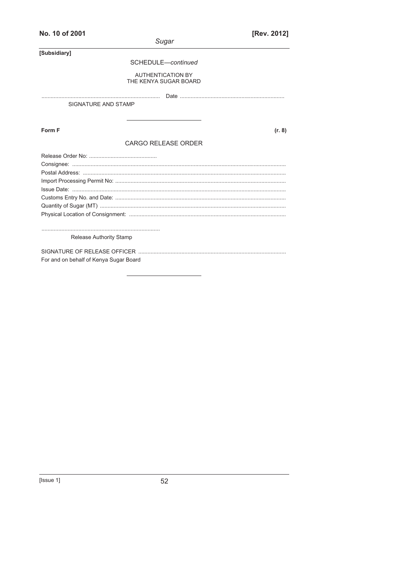|                                        | Sugar                                             |
|----------------------------------------|---------------------------------------------------|
| [Subsidiary]                           |                                                   |
|                                        | SCHEDULE-continued                                |
|                                        | <b>AUTHENTICATION BY</b><br>THE KENYA SUGAR BOARD |
|                                        |                                                   |
| SIGNATURE AND STAMP                    |                                                   |
|                                        |                                                   |
| Form F                                 | (r. 8)                                            |
|                                        | <b>CARGO RELEASE ORDER</b>                        |
|                                        |                                                   |
| <b>Release Authority Stamp</b>         |                                                   |
| For and on behalf of Kenya Sugar Board |                                                   |

[Rev. 2012]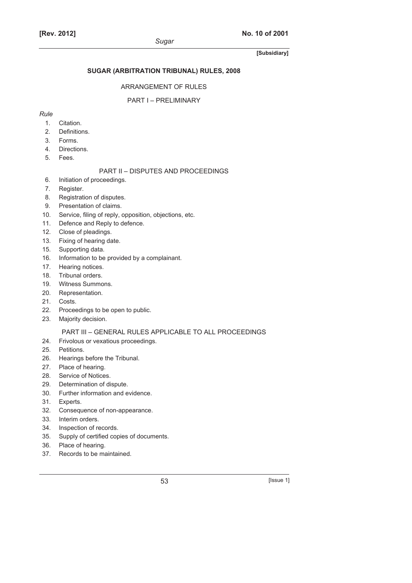# **SUGAR (ARBITRATION TRIBUNAL) RULES, 2008**

# ARRANGEMENT OF RULES

# PART I – PRELIMINARY

# *Rule*

- 1. Citation.
- 2. Definitions.
- 3. Forms.
- 4. Directions.
- 5. Fees.

# PART II – DISPUTES AND PROCEEDINGS

- 6. Initiation of proceedings.
- 7. Register.
- 8. Registration of disputes.
- 9. Presentation of claims.
- 10. Service, filing of reply, opposition, objections, etc.
- 11. Defence and Reply to defence.
- 12. Close of pleadings.
- 13. Fixing of hearing date.
- 15. Supporting data.
- 16. Information to be provided by a complainant.
- 17. Hearing notices.
- 18. Tribunal orders.
- 19. Witness Summons.
- 20. Representation.
- 21. Costs.
- 22. Proceedings to be open to public.
- 23. Majority decision.

# PART III – GENERAL RULES APPLICABLE TO ALL PROCEEDINGS

- 24. Frivolous or vexatious proceedings.
- 25. Petitions.
- 26. Hearings before the Tribunal.
- 27. Place of hearing.
- 28. Service of Notices.
- 29. Determination of dispute.
- 30. Further information and evidence.
- 31. Experts.
- 32. Consequence of non-appearance.
- 33. Interim orders.
- 34. Inspection of records.
- 35. Supply of certified copies of documents.
- 36. Place of hearing.
- 37. Records to be maintained.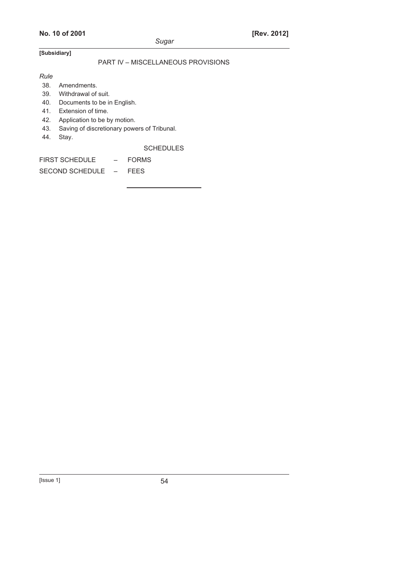# PART IV – MISCELLANEOUS PROVISIONS

*Rule* 

38. Amendments.

- 39. Withdrawal of suit.
- 40. Documents to be in English.
- 41. Extension of time.
- 42. Application to be by motion.
- 43. Saving of discretionary powers of Tribunal.
- 44. Stay.

**SCHEDULES** 

FIRST SCHEDULE – FORMS

SECOND SCHEDULE – FEES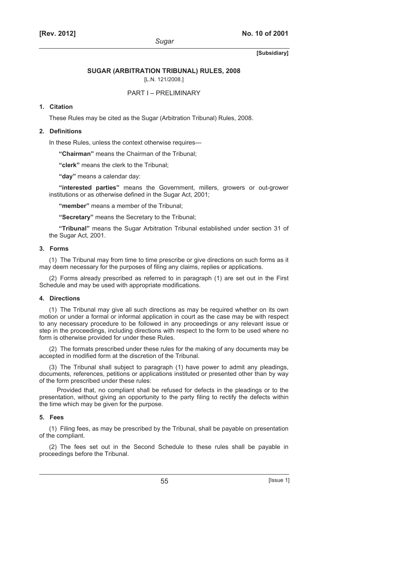#### **SUGAR (ARBITRATION TRIBUNAL) RULES, 2008**

[L.N. 121/2008.]

# PART I – PRELIMINARY

# **1. Citation**

These Rules may be cited as the Sugar (Arbitration Tribunal) Rules, 2008.

## **2. Definitions**

In these Rules, unless the context otherwise requires—

**"Chairman"** means the Chairman of the Tribunal;

**"clerk"** means the clerk to the Tribunal;

**"day"** means a calendar day:

**"interested parties"** means the Government, millers, growers or out-grower institutions or as otherwise defined in the Sugar Act, 2001;

**"member"** means a member of the Tribunal;

**"Secretary"** means the Secretary to the Tribunal;

**"Tribunal"** means the Sugar Arbitration Tribunal established under section 31 of the Sugar Act, 2001.

#### **3. Forms**

(1) The Tribunal may from time to time prescribe or give directions on such forms as it may deem necessary for the purposes of filing any claims, replies or applications.

(2) Forms already prescribed as referred to in paragraph (1) are set out in the First Schedule and may be used with appropriate modifications.

#### **4. Directions**

(1) The Tribunal may give all such directions as may be required whether on its own motion or under a formal or informal application in court as the case may be with respect to any necessary procedure to be followed in any proceedings or any relevant issue or step in the proceedings, including directions with respect to the form to be used where no form is otherwise provided for under these Rules.

(2) The formats prescribed under these rules for the making of any documents may be accepted in modified form at the discretion of the Tribunal.

(3) The Tribunal shall subject to paragraph (1) have power to admit any pleadings, documents, references, petitions or applications instituted or presented other than by way of the form prescribed under these rules:

Provided that, no compliant shall be refused for defects in the pleadings or to the presentation, without giving an opportunity to the party filing to rectify the defects within the time which may be given for the purpose.

#### **5. Fees**

(1) Filing fees, as may be prescribed by the Tribunal, shall be payable on presentation of the compliant.

(2) The fees set out in the Second Schedule to these rules shall be payable in proceedings before the Tribunal.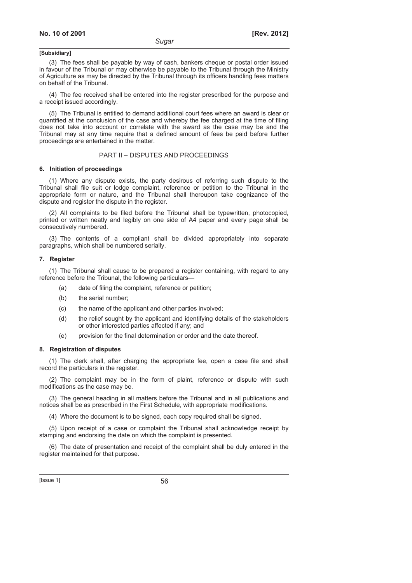(3) The fees shall be payable by way of cash, bankers cheque or postal order issued in favour of the Tribunal or may otherwise be payable to the Tribunal through the Ministry of Agriculture as may be directed by the Tribunal through its officers handling fees matters on behalf of the Tribunal.

(4) The fee received shall be entered into the register prescribed for the purpose and a receipt issued accordingly.

(5) The Tribunal is entitled to demand additional court fees where an award is clear or quantified at the conclusion of the case and whereby the fee charged at the time of filing does not take into account or correlate with the award as the case may be and the Tribunal may at any time require that a defined amount of fees be paid before further proceedings are entertained in the matter.

# PART II – DISPUTES AND PROCEEDINGS

#### **6. Initiation of proceedings**

(1) Where any dispute exists, the party desirous of referring such dispute to the Tribunal shall file suit or lodge complaint, reference or petition to the Tribunal in the appropriate form or nature, and the Tribunal shall thereupon take cognizance of the dispute and register the dispute in the register.

(2) All complaints to be filed before the Tribunal shall be typewritten, photocopied, printed or written neatly and legibly on one side of A4 paper and every page shall be consecutively numbered.

(3) The contents of a compliant shall be divided appropriately into separate paragraphs, which shall be numbered serially.

#### **7. Register**

(1) The Tribunal shall cause to be prepared a register containing, with regard to any reference before the Tribunal, the following particulars—

- (a) date of filing the complaint, reference or petition;
- (b) the serial number;
- (c) the name of the applicant and other parties involved;
- (d) the relief sought by the applicant and identifying details of the stakeholders or other interested parties affected if any; and
- (e) provision for the final determination or order and the date thereof.

#### **8. Registration of disputes**

(1) The clerk shall, after charging the appropriate fee, open a case file and shall record the particulars in the register.

(2) The complaint may be in the form of plaint, reference or dispute with such modifications as the case may be.

(3) The general heading in all matters before the Tribunal and in all publications and notices shall be as prescribed in the First Schedule, with appropriate modifications.

(4) Where the document is to be signed, each copy required shall be signed.

(5) Upon receipt of a case or complaint the Tribunal shall acknowledge receipt by stamping and endorsing the date on which the complaint is presented.

(6) The date of presentation and receipt of the complaint shall be duly entered in the register maintained for that purpose.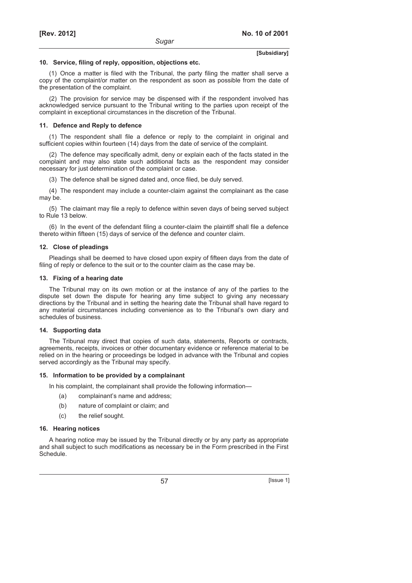#### **10. Service, filing of reply, opposition, objections etc.**

(1) Once a matter is filed with the Tribunal, the party filing the matter shall serve a copy of the complaint/or matter on the respondent as soon as possible from the date of the presentation of the complaint.

(2) The provision for service may be dispensed with if the respondent involved has acknowledged service pursuant to the Tribunal writing to the parties upon receipt of the complaint in exceptional circumstances in the discretion of the Tribunal.

#### **11. Defence and Reply to defence**

(1) The respondent shall file a defence or reply to the complaint in original and sufficient copies within fourteen (14) days from the date of service of the complaint.

(2) The defence may specifically admit, deny or explain each of the facts stated in the complaint and may also state such additional facts as the respondent may consider necessary for just determination of the complaint or case.

(3) The defence shall be signed dated and, once filed, be duly served.

(4) The respondent may include a counter-claim against the complainant as the case may be.

(5) The claimant may file a reply to defence within seven days of being served subject to Rule 13 below.

(6) In the event of the defendant filing a counter-claim the plaintiff shall file a defence thereto within fifteen (15) days of service of the defence and counter claim.

#### **12. Close of pleadings**

Pleadings shall be deemed to have closed upon expiry of fifteen days from the date of filing of reply or defence to the suit or to the counter claim as the case may be.

#### **13. Fixing of a hearing date**

The Tribunal may on its own motion or at the instance of any of the parties to the dispute set down the dispute for hearing any time subject to giving any necessary directions by the Tribunal and in setting the hearing date the Tribunal shall have regard to any material circumstances including convenience as to the Tribunal's own diary and schedules of business.

### **14. Supporting data**

The Tribunal may direct that copies of such data, statements, Reports or contracts, agreements, receipts, invoices or other documentary evidence or reference material to be relied on in the hearing or proceedings be lodged in advance with the Tribunal and copies served accordingly as the Tribunal may specify.

#### **15. Information to be provided by a complainant**

In his complaint, the complainant shall provide the following information—

- (a) complainant's name and address;
- (b) nature of complaint or claim; and
- (c) the relief sought.

#### **16. Hearing notices**

A hearing notice may be issued by the Tribunal directly or by any party as appropriate and shall subject to such modifications as necessary be in the Form prescribed in the First Schedule.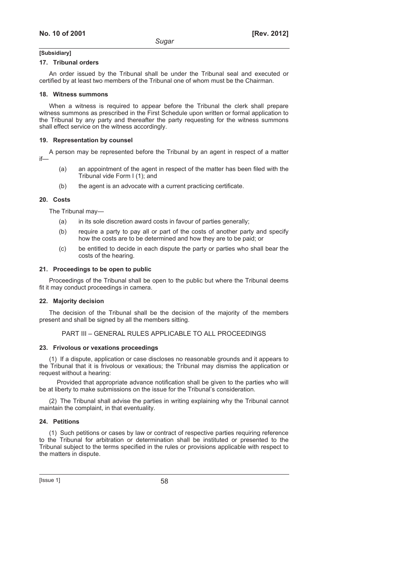#### **17. Tribunal orders**

An order issued by the Tribunal shall be under the Tribunal seal and executed or certified by at least two members of the Tribunal one of whom must be the Chairman.

#### **18. Witness summons**

When a witness is required to appear before the Tribunal the clerk shall prepare witness summons as prescribed in the First Schedule upon written or formal application to the Tribunal by any party and thereafter the party requesting for the witness summons shall effect service on the witness accordingly.

#### **19. Representation by counsel**

A person may be represented before the Tribunal by an agent in respect of a matter if—

- (a) an appointment of the agent in respect of the matter has been filed with the Tribunal vide Form I (1); and
- (b) the agent is an advocate with a current practicing certificate.

#### **20. Costs**

The Tribunal may—

- (a) in its sole discretion award costs in favour of parties generally;
- (b) require a party to pay all or part of the costs of another party and specify how the costs are to be determined and how they are to be paid; or
- (c) be entitled to decide in each dispute the party or parties who shall bear the costs of the hearing.

#### **21. Proceedings to be open to public**

Proceedings of the Tribunal shall be open to the public but where the Tribunal deems fit it may conduct proceedings in camera.

### **22. Majority decision**

The decision of the Tribunal shall be the decision of the majority of the members present and shall be signed by all the members sitting.

### PART III – GENERAL RULES APPLICABLE TO ALL PROCEEDINGS

#### **23. Frivolous or vexations proceedings**

(1) If a dispute, application or case discloses no reasonable grounds and it appears to the Tribunal that it is frivolous or vexatious; the Tribunal may dismiss the application or request without a hearing:

Provided that appropriate advance notification shall be given to the parties who will be at liberty to make submissions on the issue for the Tribunal's consideration.

(2) The Tribunal shall advise the parties in writing explaining why the Tribunal cannot maintain the complaint, in that eventuality.

#### **24. Petitions**

(1) Such petitions or cases by law or contract of respective parties requiring reference to the Tribunal for arbitration or determination shall be instituted or presented to the Tribunal subject to the terms specified in the rules or provisions applicable with respect to the matters in dispute.

 $[|$ ssue 1 $]$  58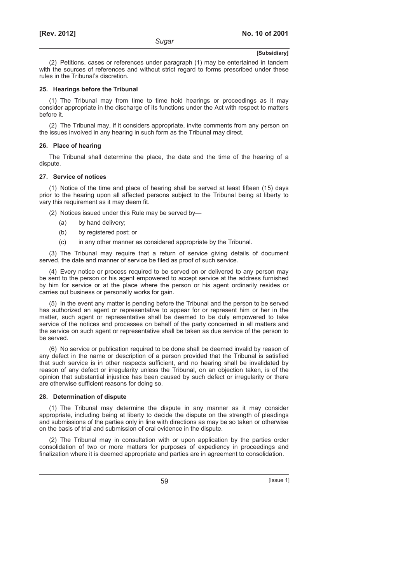(2) Petitions, cases or references under paragraph (1) may be entertained in tandem with the sources of references and without strict regard to forms prescribed under these rules in the Tribunal's discretion.

#### **25. Hearings before the Tribunal**

(1) The Tribunal may from time to time hold hearings or proceedings as it may consider appropriate in the discharge of its functions under the Act with respect to matters before it.

(2) The Tribunal may, if it considers appropriate, invite comments from any person on the issues involved in any hearing in such form as the Tribunal may direct.

#### **26. Place of hearing**

The Tribunal shall determine the place, the date and the time of the hearing of a dispute.

#### **27. Service of notices**

(1) Notice of the time and place of hearing shall be served at least fifteen (15) days prior to the hearing upon all affected persons subject to the Tribunal being at liberty to vary this requirement as it may deem fit.

- (2) Notices issued under this Rule may be served by—
	- (a) by hand delivery;
	- (b) by registered post; or
	- (c) in any other manner as considered appropriate by the Tribunal.

(3) The Tribunal may require that a return of service giving details of document served, the date and manner of service be filed as proof of such service.

(4) Every notice or process required to be served on or delivered to any person may be sent to the person or his agent empowered to accept service at the address furnished by him for service or at the place where the person or his agent ordinarily resides or carries out business or personally works for gain.

(5) In the event any matter is pending before the Tribunal and the person to be served has authorized an agent or representative to appear for or represent him or her in the matter, such agent or representative shall be deemed to be duly empowered to take service of the notices and processes on behalf of the party concerned in all matters and the service on such agent or representative shall be taken as due service of the person to be served.

(6) No service or publication required to be done shall be deemed invalid by reason of any defect in the name or description of a person provided that the Tribunal is satisfied that such service is in other respects sufficient, and no hearing shall be invalidated by reason of any defect or irregularity unless the Tribunal, on an objection taken, is of the opinion that substantial injustice has been caused by such defect or irregularity or there are otherwise sufficient reasons for doing so.

#### **28. Determination of dispute**

(1) The Tribunal may determine the dispute in any manner as it may consider appropriate, including being at liberty to decide the dispute on the strength of pleadings and submissions of the parties only in line with directions as may be so taken or otherwise on the basis of trial and submission of oral evidence in the dispute.

(2) The Tribunal may in consultation with or upon application by the parties order consolidation of two or more matters for purposes of expediency in proceedings and finalization where it is deemed appropriate and parties are in agreement to consolidation.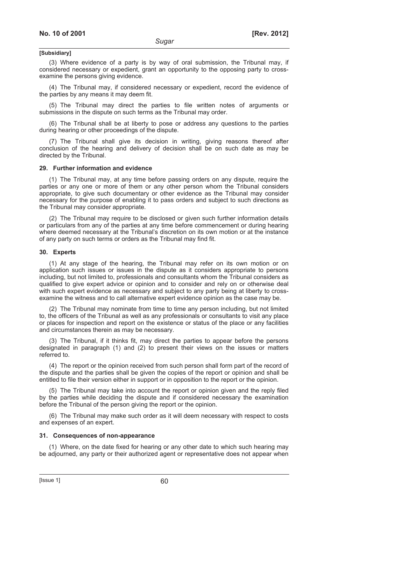(3) Where evidence of a party is by way of oral submission, the Tribunal may, if considered necessary or expedient, grant an opportunity to the opposing party to crossexamine the persons giving evidence.

(4) The Tribunal may, if considered necessary or expedient, record the evidence of the parties by any means it may deem fit.

(5) The Tribunal may direct the parties to file written notes of arguments or submissions in the dispute on such terms as the Tribunal may order.

(6) The Tribunal shall be at liberty to pose or address any questions to the parties during hearing or other proceedings of the dispute.

(7) The Tribunal shall give its decision in writing, giving reasons thereof after conclusion of the hearing and delivery of decision shall be on such date as may be directed by the Tribunal.

#### **29. Further information and evidence**

(1) The Tribunal may, at any time before passing orders on any dispute, require the parties or any one or more of them or any other person whom the Tribunal considers appropriate, to give such documentary or other evidence as the Tribunal may consider necessary for the purpose of enabling it to pass orders and subject to such directions as the Tribunal may consider appropriate.

(2) The Tribunal may require to be disclosed or given such further information details or particulars from any of the parties at any time before commencement or during hearing where deemed necessary at the Tribunal's discretion on its own motion or at the instance of any party on such terms or orders as the Tribunal may find fit.

#### **30. Experts**

(1) At any stage of the hearing, the Tribunal may refer on its own motion or on application such issues or issues in the dispute as it considers appropriate to persons including, but not limited to, professionals and consultants whom the Tribunal considers as qualified to give expert advice or opinion and to consider and rely on or otherwise deal with such expert evidence as necessary and subject to any party being at liberty to crossexamine the witness and to call alternative expert evidence opinion as the case may be.

(2) The Tribunal may nominate from time to time any person including, but not limited to, the officers of the Tribunal as well as any professionals or consultants to visit any place or places for inspection and report on the existence or status of the place or any facilities and circumstances therein as may be necessary.

(3) The Tribunal, if it thinks fit, may direct the parties to appear before the persons designated in paragraph (1) and (2) to present their views on the issues or matters referred to.

(4) The report or the opinion received from such person shall form part of the record of the dispute and the parties shall be given the copies of the report or opinion and shall be entitled to file their version either in support or in opposition to the report or the opinion.

(5) The Tribunal may take into account the report or opinion given and the reply filed by the parties while deciding the dispute and if considered necessary the examination before the Tribunal of the person giving the report or the opinion.

(6) The Tribunal may make such order as it will deem necessary with respect to costs and expenses of an expert.

#### **31. Consequences of non-appearance**

(1) Where, on the date fixed for hearing or any other date to which such hearing may be adjourned, any party or their authorized agent or representative does not appear when

 $[|$ Ssue 1 $]$  60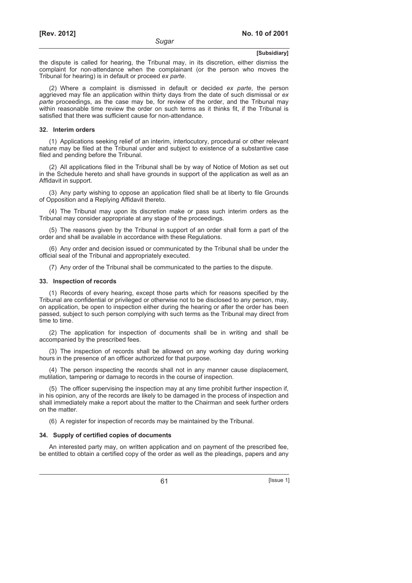the dispute is called for hearing, the Tribunal may, in its discretion, either dismiss the complaint for non-attendance when the complainant (or the person who moves the Tribunal for hearing) is in default or proceed *ex parte*.

(2) Where a complaint is dismissed in default or decided *ex parte*, the person aggrieved may file an application within thirty days from the date of such dismissal or *ex parte* proceedings, as the case may be, for review of the order, and the Tribunal may within reasonable time review the order on such terms as it thinks fit, if the Tribunal is satisfied that there was sufficient cause for non-attendance.

#### **32. Interim orders**

(1) Applications seeking relief of an interim, interlocutory, procedural or other relevant nature may be filed at the Tribunal under and subject to existence of a substantive case filed and pending before the Tribunal.

(2) All applications filed in the Tribunal shall be by way of Notice of Motion as set out in the Schedule hereto and shall have grounds in support of the application as well as an Affidavit in support.

(3) Any party wishing to oppose an application filed shall be at liberty to file Grounds of Opposition and a Replying Affidavit thereto.

(4) The Tribunal may upon its discretion make or pass such interim orders as the Tribunal may consider appropriate at any stage of the proceedings.

(5) The reasons given by the Tribunal in support of an order shall form a part of the order and shall be available in accordance with these Regulations.

(6) Any order and decision issued or communicated by the Tribunal shall be under the official seal of the Tribunal and appropriately executed.

(7) Any order of the Tribunal shall be communicated to the parties to the dispute.

#### **33. Inspection of records**

(1) Records of every hearing, except those parts which for reasons specified by the Tribunal are confidential or privileged or otherwise not to be disclosed to any person, may, on application, be open to inspection either during the hearing or after the order has been passed, subject to such person complying with such terms as the Tribunal may direct from time to time.

(2) The application for inspection of documents shall be in writing and shall be accompanied by the prescribed fees.

(3) The inspection of records shall be allowed on any working day during working hours in the presence of an officer authorized for that purpose.

(4) The person inspecting the records shall not in any manner cause displacement, mutilation, tampering or damage to records in the course of inspection.

(5) The officer supervising the inspection may at any time prohibit further inspection if, in his opinion, any of the records are likely to be damaged in the process of inspection and shall immediately make a report about the matter to the Chairman and seek further orders on the matter.

(6) A register for inspection of records may be maintained by the Tribunal.

#### **34. Supply of certified copies of documents**

An interested party may, on written application and on payment of the prescribed fee, be entitled to obtain a certified copy of the order as well as the pleadings, papers and any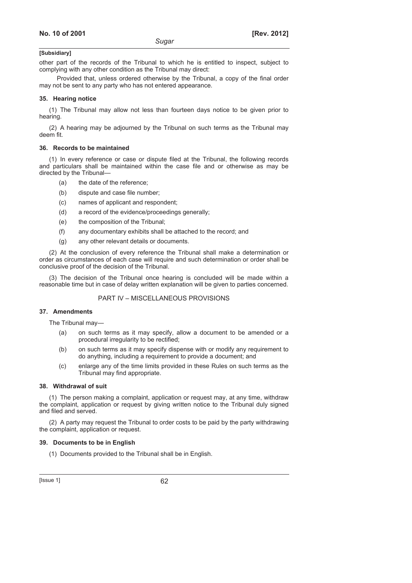other part of the records of the Tribunal to which he is entitled to inspect, subject to complying with any other condition as the Tribunal may direct:

Provided that, unless ordered otherwise by the Tribunal, a copy of the final order may not be sent to any party who has not entered appearance.

#### **35. Hearing notice**

(1) The Tribunal may allow not less than fourteen days notice to be given prior to hearing.

(2) A hearing may be adjourned by the Tribunal on such terms as the Tribunal may deem fit.

#### **36. Records to be maintained**

(1) In every reference or case or dispute filed at the Tribunal, the following records and particulars shall be maintained within the case file and or otherwise as may be directed by the Tribunal—

- (a) the date of the reference;
- (b) dispute and case file number;
- (c) names of applicant and respondent;
- (d) a record of the evidence/proceedings generally;
- (e) the composition of the Tribunal;
- (f) any documentary exhibits shall be attached to the record; and
- (g) any other relevant details or documents.

(2) At the conclusion of every reference the Tribunal shall make a determination or order as circumstances of each case will require and such determination or order shall be conclusive proof of the decision of the Tribunal.

(3) The decision of the Tribunal once hearing is concluded will be made within a reasonable time but in case of delay written explanation will be given to parties concerned.

# PART IV – MISCELLANEOUS PROVISIONS

#### **37. Amendments**

The Tribunal may—

- (a) on such terms as it may specify, allow a document to be amended or a procedural irregularity to be rectified;
- (b) on such terms as it may specify dispense with or modify any requirement to do anything, including a requirement to provide a document; and
- (c) enlarge any of the time limits provided in these Rules on such terms as the Tribunal may find appropriate.

#### **38. Withdrawal of suit**

(1) The person making a complaint, application or request may, at any time, withdraw the complaint, application or request by giving written notice to the Tribunal duly signed and filed and served.

(2) A party may request the Tribunal to order costs to be paid by the party withdrawing the complaint, application or request.

#### **39. Documents to be in English**

(1) Documents provided to the Tribunal shall be in English.

 $[|$ ssue 1 $]$  62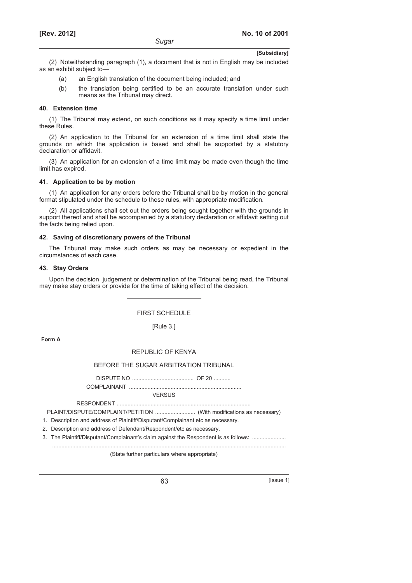(2) Notwithstanding paragraph (1), a document that is not in English may be included as an exhibit subject to—

- (a) an English translation of the document being included; and
- (b) the translation being certified to be an accurate translation under such means as the Tribunal may direct.

#### **40. Extension time**

(1) The Tribunal may extend, on such conditions as it may specify a time limit under these Rules.

(2) An application to the Tribunal for an extension of a time limit shall state the grounds on which the application is based and shall be supported by a statutory declaration or affidavit.

(3) An application for an extension of a time limit may be made even though the time limit has expired.

#### **41. Application to be by motion**

(1) An application for any orders before the Tribunal shall be by motion in the general format stipulated under the schedule to these rules, with appropriate modification.

(2) All applications shall set out the orders being sought together with the grounds in support thereof and shall be accompanied by a statutory declaration or affidavit setting out the facts being relied upon.

#### **42. Saving of discretionary powers of the Tribunal**

The Tribunal may make such orders as may be necessary or expedient in the circumstances of each case.

# **43. Stay Orders**

Upon the decision, judgement or determination of the Tribunal being read, the Tribunal may make stay orders or provide for the time of taking effect of the decision.

FIRST SCHEDULE

# [Rule 3.]

**Form A** 

#### REPUBLIC OF KENYA

### BEFORE THE SUGAR ARBITRATION TRIBUNAL

DISPUTE NO ........................................ OF 20 ........... COMPLAINANT .........................................................................

VERSUS

RESPONDENT .......................................................................................

PLAINT/DISPUTE/COMPLAINT/PETITION .......................... (With modifications as necessary)

1. Description and address of Plaintiff/Disputant/Complainant etc as necessary.

2. Description and address of Defendant/Respondent/etc as necessary.

3. The Plaintiff/Disputant/Complainant's claim against the Respondent is as follows: ........................

........................................................................................................................................................

(State further particulars where appropriate)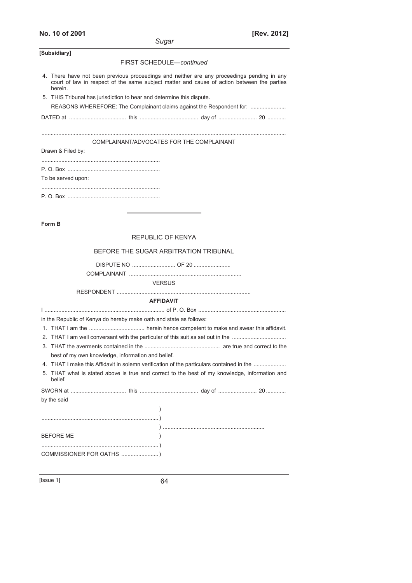# **No. 10 of 2001 [Rev. 2012]**

| Sugar                                                                                                                                                                                               |
|-----------------------------------------------------------------------------------------------------------------------------------------------------------------------------------------------------|
| [Subsidiary]                                                                                                                                                                                        |
| FIRST SCHEDULE-continued                                                                                                                                                                            |
| 4. There have not been previous proceedings and neither are any proceedings pending in any<br>court of law in respect of the same subject matter and cause of action between the parties<br>herein. |
| 5. THIS Tribunal has jurisdiction to hear and determine this dispute.                                                                                                                               |
| REASONS WHEREFORE: The Complainant claims against the Respondent for:                                                                                                                               |
|                                                                                                                                                                                                     |
|                                                                                                                                                                                                     |
| COMPLAINANT/ADVOCATES FOR THE COMPLAINANT                                                                                                                                                           |
| Drawn & Filed by:                                                                                                                                                                                   |
|                                                                                                                                                                                                     |
| To be served upon:                                                                                                                                                                                  |
|                                                                                                                                                                                                     |
|                                                                                                                                                                                                     |
|                                                                                                                                                                                                     |
| Form B                                                                                                                                                                                              |
| <b>REPUBLIC OF KENYA</b>                                                                                                                                                                            |
|                                                                                                                                                                                                     |
| BEFORE THE SUGAR ARBITRATION TRIBUNAL                                                                                                                                                               |
| DISPUTE NO  OF 20                                                                                                                                                                                   |
|                                                                                                                                                                                                     |
| <b>VERSUS</b>                                                                                                                                                                                       |
| <b>AFFIDAVIT</b>                                                                                                                                                                                    |
|                                                                                                                                                                                                     |
| in the Republic of Kenya do hereby make oath and state as follows:                                                                                                                                  |
|                                                                                                                                                                                                     |
| 2. THAT I am well conversant with the particular of this suit as set out in the                                                                                                                     |
|                                                                                                                                                                                                     |
| best of my own knowledge, information and belief.                                                                                                                                                   |
| 4. THAT I make this Affidavit in solemn verification of the particulars contained in the                                                                                                            |
| 5. THAT what is stated above is true and correct to the best of my knowledge, information and<br>belief.                                                                                            |
|                                                                                                                                                                                                     |
| by the said                                                                                                                                                                                         |
| $\lambda$                                                                                                                                                                                           |
|                                                                                                                                                                                                     |
|                                                                                                                                                                                                     |
| <b>BEFORE ME</b><br>$\lambda$                                                                                                                                                                       |
|                                                                                                                                                                                                     |
|                                                                                                                                                                                                     |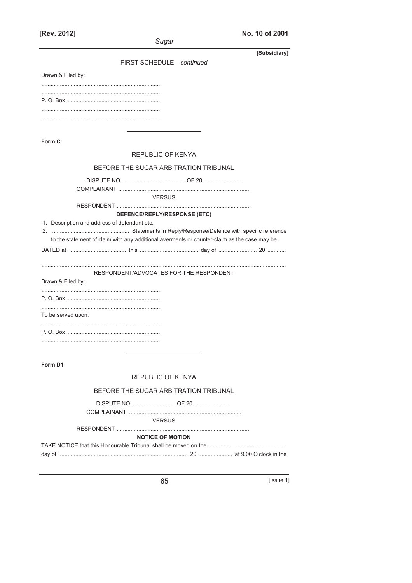[Rev. 2012]

|  |  |  | No. 10 of 2001 |  |
|--|--|--|----------------|--|
|--|--|--|----------------|--|

|                                              | Sugar                                                                                        |
|----------------------------------------------|----------------------------------------------------------------------------------------------|
|                                              | [Subsidiary]                                                                                 |
|                                              | FIRST SCHEDULE-continued                                                                     |
| Drawn & Filed by:                            |                                                                                              |
|                                              |                                                                                              |
|                                              |                                                                                              |
|                                              |                                                                                              |
|                                              |                                                                                              |
| Form C                                       |                                                                                              |
|                                              | <b>REPUBLIC OF KENYA</b>                                                                     |
|                                              | BEFORE THE SUGAR ARBITRATION TRIBUNAL                                                        |
|                                              |                                                                                              |
|                                              |                                                                                              |
|                                              | <b>VERSUS</b>                                                                                |
|                                              | DEFENCE/REPLY/RESPONSE (ETC)                                                                 |
| 1. Description and address of defendant etc. |                                                                                              |
|                                              | to the statement of claim with any additional averments or counter-claim as the case may be. |
|                                              |                                                                                              |
|                                              |                                                                                              |
|                                              | RESPONDENT/ADVOCATES FOR THE RESPONDENT                                                      |
| Drawn & Filed by:                            |                                                                                              |
|                                              |                                                                                              |
|                                              |                                                                                              |
| To be served upon:                           |                                                                                              |
|                                              |                                                                                              |
|                                              |                                                                                              |
|                                              |                                                                                              |
| Form D1                                      |                                                                                              |
|                                              | REPUBLIC OF KENYA                                                                            |
|                                              | BEFORE THE SUGAR ARBITRATION TRIBUNAL                                                        |
|                                              |                                                                                              |
|                                              |                                                                                              |
|                                              | <b>VERSUS</b>                                                                                |
|                                              | <b>NOTICE OF MOTION</b>                                                                      |
|                                              |                                                                                              |
|                                              |                                                                                              |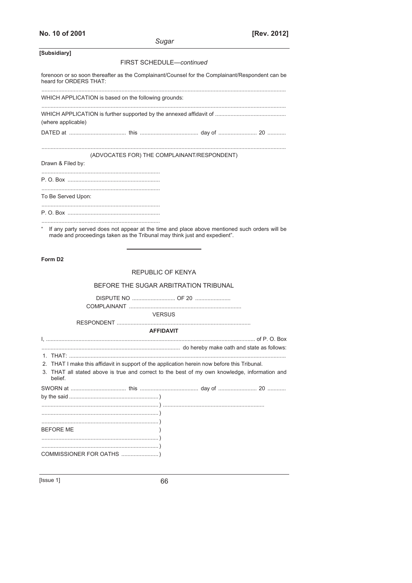| Sugar                                                                                                                                                                      |  |
|----------------------------------------------------------------------------------------------------------------------------------------------------------------------------|--|
| [Subsidiary]                                                                                                                                                               |  |
| FIRST SCHEDULE-continued                                                                                                                                                   |  |
| forenoon or so soon thereafter as the Complainant/Counsel for the Complainant/Respondent can be<br>heard for ORDERS THAT.                                                  |  |
| WHICH APPLICATION is based on the following grounds:                                                                                                                       |  |
| (where applicable)                                                                                                                                                         |  |
|                                                                                                                                                                            |  |
| (ADVOCATES FOR) THE COMPLAINANT/RESPONDENT)                                                                                                                                |  |
| Drawn & Filed by:                                                                                                                                                          |  |
|                                                                                                                                                                            |  |
| To Be Served Upon:                                                                                                                                                         |  |
|                                                                                                                                                                            |  |
| If any party served does not appear at the time and place above mentioned such orders will be<br>made and proceedings taken as the Tribunal may think just and expedient". |  |
| Form D <sub>2</sub>                                                                                                                                                        |  |

# REPUBLIC OF KENYA

|             | BEFORE THE SUGAR ARBITRATION TRIBUNAL |
|-------------|---------------------------------------|
| DISPLITE NO | OE 20                                 |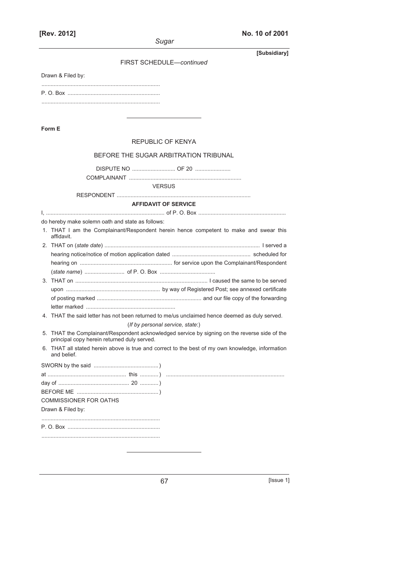| uaa |  |
|-----|--|

**[Rev. 2012] No. 10 of 2001**

| ouyai                                                                                                                                                                                                                                                                                        |
|----------------------------------------------------------------------------------------------------------------------------------------------------------------------------------------------------------------------------------------------------------------------------------------------|
| [Subsidiary]<br>FIRST SCHEDULE-continued                                                                                                                                                                                                                                                     |
| Drawn & Filed by:                                                                                                                                                                                                                                                                            |
|                                                                                                                                                                                                                                                                                              |
|                                                                                                                                                                                                                                                                                              |
| Form E                                                                                                                                                                                                                                                                                       |
| REPUBLIC OF KENYA                                                                                                                                                                                                                                                                            |
| BEFORE THE SUGAR ARBITRATION TRIBUNAL                                                                                                                                                                                                                                                        |
| DISPUTE NO  OF 20                                                                                                                                                                                                                                                                            |
| <b>VERSUS</b>                                                                                                                                                                                                                                                                                |
|                                                                                                                                                                                                                                                                                              |
| <b>AFFIDAVIT OF SERVICE</b>                                                                                                                                                                                                                                                                  |
| do hereby make solemn oath and state as follows:<br>1. THAT I am the Complainant/Respondent herein hence competent to make and swear this<br>affidavit.<br>4. THAT the said letter has not been returned to me/us unclaimed hence deemed as duly served.<br>(If by personal service, state:) |
| 5. THAT the Complainant/Respondent acknowledged service by signing on the reverse side of the                                                                                                                                                                                                |
| principal copy herein returned duly served.<br>6. THAT all stated herein above is true and correct to the best of my own knowledge, information<br>and belief.                                                                                                                               |
|                                                                                                                                                                                                                                                                                              |
|                                                                                                                                                                                                                                                                                              |
|                                                                                                                                                                                                                                                                                              |
| <b>COMMISSIONER FOR OATHS</b>                                                                                                                                                                                                                                                                |
| Drawn & Filed by:                                                                                                                                                                                                                                                                            |
|                                                                                                                                                                                                                                                                                              |
|                                                                                                                                                                                                                                                                                              |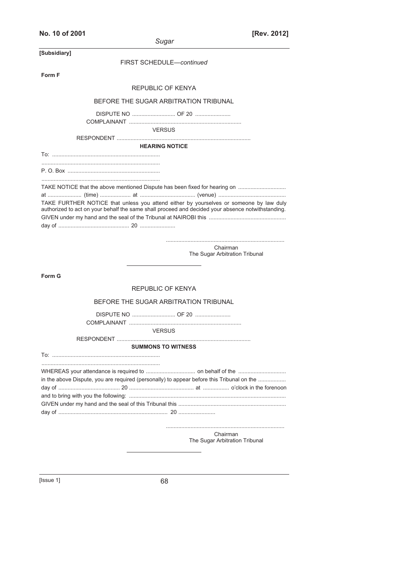| No. 10 of 2001 |  |  |  |  |  |
|----------------|--|--|--|--|--|
|----------------|--|--|--|--|--|

| Sugar                    | [Rev. 2012] |
|--------------------------|-------------|
| FIRST SCHEDULE-continued |             |

**[Subsidiary]**

| Form F                                                                                                                                                                                      |
|---------------------------------------------------------------------------------------------------------------------------------------------------------------------------------------------|
| <b>REPUBLIC OF KENYA</b>                                                                                                                                                                    |
| BEFORE THE SUGAR ARBITRATION TRIBUNAL                                                                                                                                                       |
| <b>VERSUS</b>                                                                                                                                                                               |
| <b>HEARING NOTICE</b>                                                                                                                                                                       |
|                                                                                                                                                                                             |
|                                                                                                                                                                                             |
| TAKE FURTHER NOTICE that unless you attend either by yourselves or someone by law duly<br>authorized to act on your behalf the same shall proceed and decided your absence notwithstanding. |
|                                                                                                                                                                                             |
| Chairman<br>The Sugar Arbitration Tribunal                                                                                                                                                  |
| Form G                                                                                                                                                                                      |
| REPUBLIC OF KENYA                                                                                                                                                                           |
| BEFORE THE SUGAR ARBITRATION TRIBUNAL                                                                                                                                                       |
|                                                                                                                                                                                             |
| <b>VERSUS</b>                                                                                                                                                                               |
| <b>SUMMONS TO WITNESS</b>                                                                                                                                                                   |
|                                                                                                                                                                                             |
| in the above Dispute, you are required (personally) to appear before this Tribunal on the                                                                                                   |

**Chairman** Chairman and Chairman Chairman The Sugar Arbitration Tribunal

L,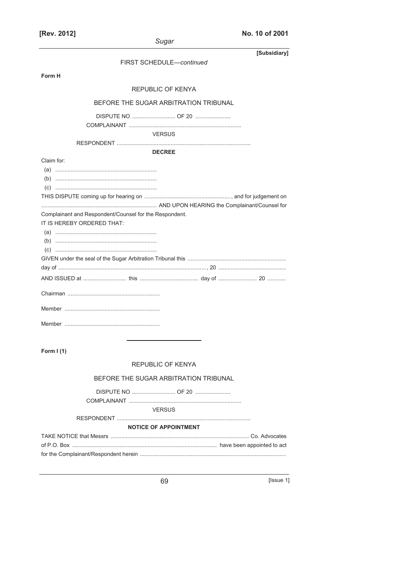| No. 10 of 2001 |  |  |  |  |
|----------------|--|--|--|--|
|----------------|--|--|--|--|

| [Subsidiary]<br>FIRST SCHEDULE-continued                             |
|----------------------------------------------------------------------|
| Form H                                                               |
| <b>REPUBLIC OF KENYA</b>                                             |
| BEFORE THE SUGAR ARBITRATION TRIBUNAL                                |
|                                                                      |
| <b>VERSUS</b>                                                        |
| <b>DECREE</b>                                                        |
| Claim for:<br>Complainant and Respondent/Counsel for the Respondent. |
| IT IS HEREBY ORDERED THAT:                                           |
|                                                                      |
|                                                                      |
|                                                                      |
|                                                                      |
|                                                                      |
| Form $I(1)$                                                          |
| REPUBLIC OF KENYA                                                    |
| BEFORE THE SUGAR ARBITRATION TRIBUNAL                                |
|                                                                      |
| <b>VERSUS</b>                                                        |
| <b>NOTICE OF APPOINTMENT</b>                                         |

 $\boxed{\text{|issue 1}}$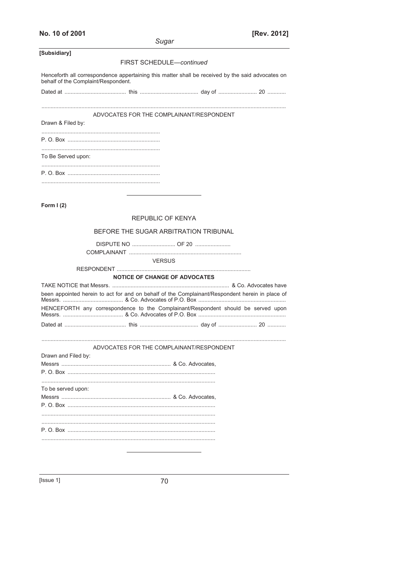| No. 10 of 2001 |  |
|----------------|--|
|----------------|--|

[Rev. 2012]

|                                     |                                                                                                   | uyaı.                                |  |
|-------------------------------------|---------------------------------------------------------------------------------------------------|--------------------------------------|--|
| [Subsidiary]                        |                                                                                                   |                                      |  |
|                                     |                                                                                                   | FIRST SCHEDULE-continued             |  |
| behalf of the Complaint/Respondent. | Henceforth all correspondence appertaining this matter shall be received by the said advocates on |                                      |  |
|                                     |                                                                                                   |                                      |  |
|                                     | ADVOCATES FOR THE COMPLAINANT/RESPONDENT                                                          |                                      |  |
| Drawn & Filed by:                   |                                                                                                   |                                      |  |
|                                     |                                                                                                   |                                      |  |
| To Be Served upon:                  |                                                                                                   |                                      |  |
|                                     |                                                                                                   |                                      |  |
|                                     |                                                                                                   |                                      |  |
| Form $I(2)$                         |                                                                                                   |                                      |  |
|                                     |                                                                                                   | REPUBLIC OF KENYA                    |  |
|                                     | BEFORE THE SUGAR ARBITRATION TRIBUNAL                                                             |                                      |  |
|                                     |                                                                                                   |                                      |  |
|                                     |                                                                                                   | <b>VERSUS</b>                        |  |
|                                     |                                                                                                   |                                      |  |
|                                     |                                                                                                   | <b>NOTICE OF CHANGE OF ADVOCATES</b> |  |
|                                     | been appointed herein to act for and on behalf of the Complainant/Respondent herein in place of   |                                      |  |
|                                     | HENCEFORTH any correspondence to the Complainant/Respondent should be served upon                 |                                      |  |
|                                     |                                                                                                   |                                      |  |
|                                     | ADVOCATES FOR THE COMPLAINANT/RESPONDENT                                                          |                                      |  |
| Drawn and Filed by:                 |                                                                                                   |                                      |  |
|                                     |                                                                                                   |                                      |  |
|                                     |                                                                                                   |                                      |  |
| To be served upon:                  |                                                                                                   |                                      |  |
|                                     |                                                                                                   |                                      |  |
|                                     |                                                                                                   |                                      |  |
|                                     |                                                                                                   |                                      |  |
|                                     |                                                                                                   |                                      |  |
|                                     |                                                                                                   |                                      |  |
|                                     |                                                                                                   |                                      |  |
|                                     |                                                                                                   |                                      |  |
|                                     |                                                                                                   |                                      |  |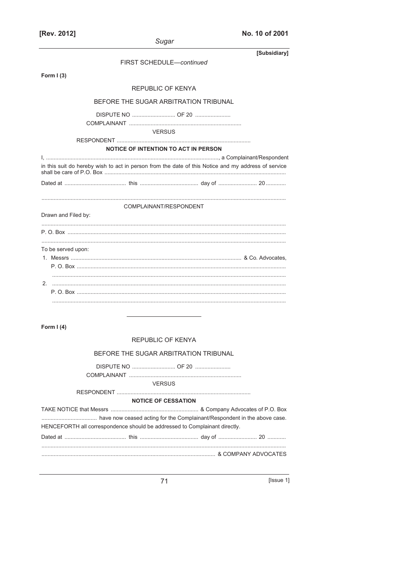|  |  |  | No. 10 of 2001 |  |
|--|--|--|----------------|--|
|--|--|--|----------------|--|

|                                                                                                     | Sugar                                       |                                       |              |
|-----------------------------------------------------------------------------------------------------|---------------------------------------------|---------------------------------------|--------------|
|                                                                                                     |                                             |                                       | [Subsidiary] |
|                                                                                                     | FIRST SCHEDULE-continued                    |                                       |              |
| Form $I(3)$                                                                                         |                                             |                                       |              |
|                                                                                                     | REPUBLIC OF KENYA                           |                                       |              |
|                                                                                                     |                                             | BEFORE THE SUGAR ARBITRATION TRIBUNAL |              |
|                                                                                                     |                                             |                                       |              |
|                                                                                                     | <b>VERSUS</b>                               |                                       |              |
|                                                                                                     | <b>NOTICE OF INTENTION TO ACT IN PERSON</b> |                                       |              |
|                                                                                                     |                                             |                                       |              |
| in this suit do hereby wish to act in person from the date of this Notice and my address of service |                                             |                                       |              |
|                                                                                                     |                                             |                                       |              |
|                                                                                                     |                                             |                                       |              |
|                                                                                                     |                                             |                                       |              |
| Drawn and Filed by:                                                                                 | COMPLAINANT/RESPONDENT                      |                                       |              |
|                                                                                                     |                                             |                                       |              |
| $P \cap \text{Box}$                                                                                 |                                             |                                       |              |
| To be served upon:                                                                                  |                                             |                                       |              |
|                                                                                                     |                                             |                                       |              |
|                                                                                                     |                                             |                                       |              |
|                                                                                                     |                                             |                                       |              |
|                                                                                                     |                                             |                                       |              |
|                                                                                                     |                                             |                                       |              |
|                                                                                                     |                                             |                                       |              |
|                                                                                                     |                                             |                                       |              |
| Form $I(4)$                                                                                         |                                             |                                       |              |
|                                                                                                     | <b>REPUBLIC OF KENYA</b>                    |                                       |              |
|                                                                                                     |                                             | BEFORE THE SUGAR ARBITRATION TRIBUNAL |              |
|                                                                                                     |                                             | DISPUTE NO  OF 20                     |              |
|                                                                                                     |                                             |                                       |              |
|                                                                                                     | <b>VERSUS</b>                               |                                       |              |
|                                                                                                     | <b>NOTICE OF CESSATION</b>                  |                                       |              |
|                                                                                                     |                                             |                                       |              |
| HENCEFORTH all correspondence should be addressed to Complainant directly.                          |                                             |                                       |              |
|                                                                                                     |                                             |                                       |              |
|                                                                                                     |                                             |                                       |              |
|                                                                                                     |                                             |                                       |              |

 $[lssue 1]$ </u>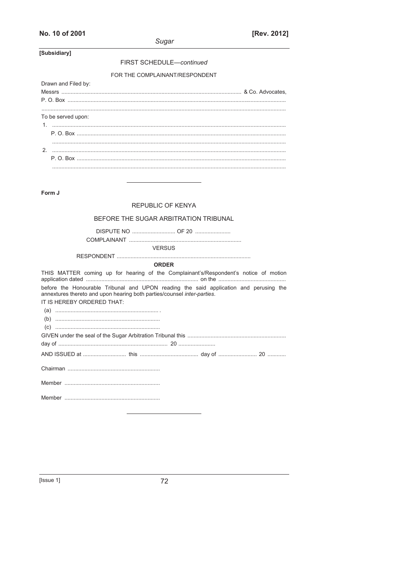#### FIRST SCHEDULE-continued

#### FOR THE COMPLAINANT/RESPONDENT

| Drawn and Filed by: |  |
|---------------------|--|
|                     |  |
|                     |  |
|                     |  |
| To be served upon:  |  |
|                     |  |
|                     |  |
|                     |  |
|                     |  |
|                     |  |
|                     |  |
|                     |  |

Form J

#### **REPUBLIC OF KENYA**

#### BEFORE THE SUGAR ARBITRATION TRIBUNAL

**VERSUS** 

**ORDER** 

THIS MATTER coming up for hearing of the Complainant's/Respondent's notice of motion before the Honourable Tribunal and UPON reading the said application and perusing the annextures thereto and upon hearing both parties/counsel inter-parties. IT IS HEREBY ORDERED THAT: